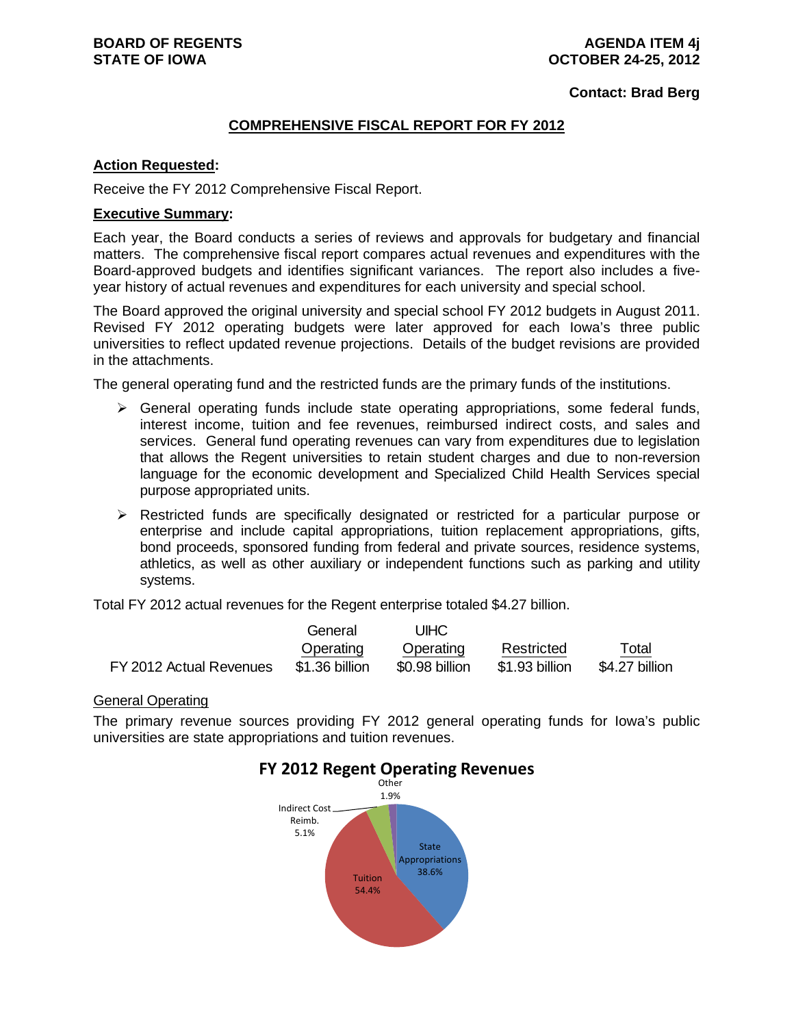**Contact: Brad Berg**

#### **COMPREHENSIVE FISCAL REPORT FOR FY 2012**

#### **Action Requested:**

Receive the FY 2012 Comprehensive Fiscal Report.

#### **Executive Summary:**

Each year, the Board conducts a series of reviews and approvals for budgetary and financial matters. The comprehensive fiscal report compares actual revenues and expenditures with the Board-approved budgets and identifies significant variances. The report also includes a fiveyear history of actual revenues and expenditures for each university and special school.

The Board approved the original university and special school FY 2012 budgets in August 2011. Revised FY 2012 operating budgets were later approved for each Iowa's three public universities to reflect updated revenue projections. Details of the budget revisions are provided in the attachments.

The general operating fund and the restricted funds are the primary funds of the institutions.

- $\triangleright$  General operating funds include state operating appropriations, some federal funds, interest income, tuition and fee revenues, reimbursed indirect costs, and sales and services. General fund operating revenues can vary from expenditures due to legislation that allows the Regent universities to retain student charges and due to non-reversion language for the economic development and Specialized Child Health Services special purpose appropriated units.
- $\triangleright$  Restricted funds are specifically designated or restricted for a particular purpose or enterprise and include capital appropriations, tuition replacement appropriations, gifts, bond proceeds, sponsored funding from federal and private sources, residence systems, athletics, as well as other auxiliary or independent functions such as parking and utility systems.

Total FY 2012 actual revenues for the Regent enterprise totaled \$4.27 billion.

|                         | General        | UIHC.          |                |                |
|-------------------------|----------------|----------------|----------------|----------------|
|                         | Operating      | Operating      | Restricted     | Total          |
| FY 2012 Actual Revenues | \$1.36 billion | \$0.98 billion | \$1.93 billion | \$4.27 billion |

#### General Operating

The primary revenue sources providing FY 2012 general operating funds for Iowa's public universities are state appropriations and tuition revenues.



# **FY 2012 Regent Operating Revenues**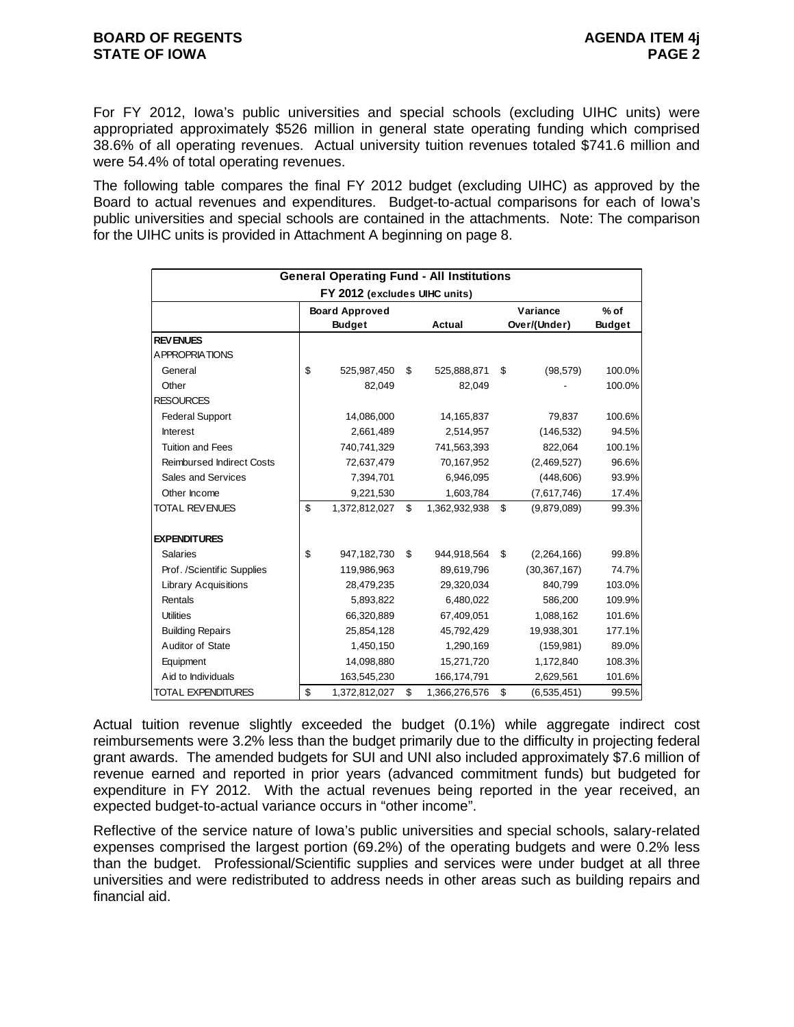For FY 2012, Iowa's public universities and special schools (excluding UIHC units) were appropriated approximately \$526 million in general state operating funding which comprised 38.6% of all operating revenues. Actual university tuition revenues totaled \$741.6 million and were 54.4% of total operating revenues.

The following table compares the final FY 2012 budget (excluding UIHC) as approved by the Board to actual revenues and expenditures. Budget-to-actual comparisons for each of Iowa's public universities and special schools are contained in the attachments. Note: The comparison for the UIHC units is provided in Attachment A beginning on page 8.

|                                  | <b>General Operating Fund - All Institutions</b> |                     |                          |                         |
|----------------------------------|--------------------------------------------------|---------------------|--------------------------|-------------------------|
|                                  | FY 2012 (excludes UIHC units)                    |                     |                          |                         |
|                                  | <b>Board Approved</b><br><b>Budget</b>           | <b>Actual</b>       | Variance<br>Over/(Under) | $%$ of<br><b>Budget</b> |
| <b>REVENUES</b>                  |                                                  |                     |                          |                         |
| A PPROPRIATIONS                  |                                                  |                     |                          |                         |
| General                          | \$<br>525,987,450                                | \$<br>525,888,871   | \$<br>(98, 579)          | 100.0%                  |
| Other                            | 82,049                                           | 82,049              |                          | 100.0%                  |
|                                  |                                                  |                     |                          |                         |
| <b>RESOURCES</b>                 |                                                  |                     |                          |                         |
| <b>Federal Support</b>           | 14,086,000                                       | 14,165,837          | 79,837                   | 100.6%                  |
| <b>Interest</b>                  | 2,661,489                                        | 2,514,957           | (146, 532)               | 94.5%                   |
| <b>Tuition and Fees</b>          | 740,741,329                                      | 741,563,393         | 822,064                  | 100.1%                  |
| <b>Reimbursed Indirect Costs</b> | 72,637,479                                       | 70,167,952          | (2,469,527)              | 96.6%                   |
| Sales and Services               | 7,394,701                                        | 6,946,095           | (448, 606)               | 93.9%                   |
| Other Income                     | 9,221,530                                        | 1,603,784           | (7,617,746)              | 17.4%                   |
| <b>TOTAL REVENUES</b>            | \$<br>1,372,812,027                              | \$<br>1,362,932,938 | \$<br>(9,879,089)        | 99.3%                   |
| <b>EXPENDITURES</b>              |                                                  |                     |                          |                         |
| <b>Salaries</b>                  | \$<br>947,182,730                                | \$<br>944,918,564   | \$<br>(2,264,166)        | 99.8%                   |
| Prof. /Scientific Supplies       | 119,986,963                                      | 89,619,796          | (30, 367, 167)           | 74.7%                   |
| <b>Library Acquisitions</b>      | 28,479,235                                       | 29,320,034          | 840,799                  | 103.0%                  |
| Rentals                          | 5,893,822                                        | 6,480,022           | 586,200                  | 109.9%                  |
| <b>Utilities</b>                 | 66,320,889                                       | 67,409,051          | 1,088,162                | 101.6%                  |
| <b>Building Repairs</b>          | 25,854,128                                       | 45,792,429          | 19,938,301               | 177.1%                  |
| Auditor of State                 | 1,450,150                                        | 1,290,169           | (159, 981)               | 89.0%                   |
| Equipment                        | 14,098,880                                       | 15,271,720          | 1,172,840                | 108.3%                  |
| Aid to Individuals               | 163,545,230                                      | 166, 174, 791       | 2,629,561                | 101.6%                  |
| <b>TOTAL EXPENDITURES</b>        | \$<br>1,372,812,027                              | \$<br>1,366,276,576 | \$<br>(6,535,451)        | 99.5%                   |

Actual tuition revenue slightly exceeded the budget (0.1%) while aggregate indirect cost reimbursements were 3.2% less than the budget primarily due to the difficulty in projecting federal grant awards. The amended budgets for SUI and UNI also included approximately \$7.6 million of revenue earned and reported in prior years (advanced commitment funds) but budgeted for expenditure in FY 2012. With the actual revenues being reported in the year received, an expected budget-to-actual variance occurs in "other income".

Reflective of the service nature of Iowa's public universities and special schools, salary-related expenses comprised the largest portion (69.2%) of the operating budgets and were 0.2% less than the budget. Professional/Scientific supplies and services were under budget at all three universities and were redistributed to address needs in other areas such as building repairs and financial aid.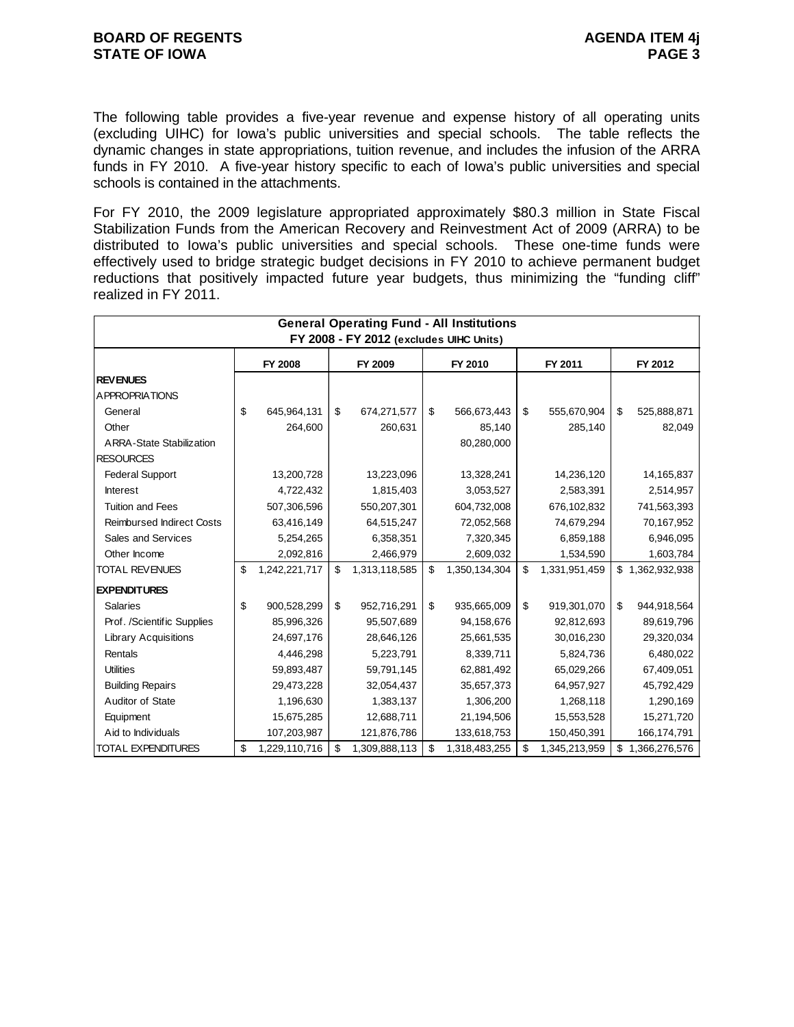The following table provides a five-year revenue and expense history of all operating units (excluding UIHC) for Iowa's public universities and special schools. The table reflects the dynamic changes in state appropriations, tuition revenue, and includes the infusion of the ARRA funds in FY 2010. A five-year history specific to each of Iowa's public universities and special schools is contained in the attachments.

For FY 2010, the 2009 legislature appropriated approximately \$80.3 million in State Fiscal Stabilization Funds from the American Recovery and Reinvestment Act of 2009 (ARRA) to be distributed to Iowa's public universities and special schools. These one-time funds were effectively used to bridge strategic budget decisions in FY 2010 to achieve permanent budget reductions that positively impacted future year budgets, thus minimizing the "funding cliff" realized in FY 2011.

| <b>General Operating Fund - All Institutions</b><br>FY 2008 - FY 2012 (excludes UIHC Units) |    |               |    |               |    |               |    |               |    |                 |  |
|---------------------------------------------------------------------------------------------|----|---------------|----|---------------|----|---------------|----|---------------|----|-----------------|--|
|                                                                                             |    |               |    |               |    |               |    |               |    |                 |  |
|                                                                                             |    | FY 2008       |    | FY 2009       |    | FY 2010       |    | FY 2011       |    | FY 2012         |  |
| <b>REVENUES</b>                                                                             |    |               |    |               |    |               |    |               |    |                 |  |
| A PPROPRIATIONS                                                                             |    |               |    |               |    |               |    |               |    |                 |  |
| General                                                                                     | \$ | 645,964,131   | \$ | 674,271,577   | \$ | 566,673,443   | \$ | 555,670,904   | \$ | 525,888,871     |  |
| Other                                                                                       |    | 264,600       |    | 260,631       |    | 85,140        |    | 285,140       |    | 82,049          |  |
| <b>ARRA-State Stabilization</b>                                                             |    |               |    |               |    | 80,280,000    |    |               |    |                 |  |
| <b>RESOURCES</b>                                                                            |    |               |    |               |    |               |    |               |    |                 |  |
| <b>Federal Support</b>                                                                      |    | 13,200,728    |    | 13,223,096    |    | 13,328,241    |    | 14,236,120    |    | 14,165,837      |  |
| <b>Interest</b>                                                                             |    | 4,722,432     |    | 1,815,403     |    | 3,053,527     |    | 2,583,391     |    | 2,514,957       |  |
| <b>Tuition and Fees</b>                                                                     |    | 507,306,596   |    | 550,207,301   |    | 604,732,008   |    | 676,102,832   |    | 741,563,393     |  |
| <b>Reimbursed Indirect Costs</b>                                                            |    | 63,416,149    |    | 64,515,247    |    | 72,052,568    |    | 74,679,294    |    | 70,167,952      |  |
| Sales and Services                                                                          |    | 5,254,265     |    | 6,358,351     |    | 7,320,345     |    | 6,859,188     |    | 6,946,095       |  |
| Other Income                                                                                |    | 2,092,816     |    | 2,466,979     |    | 2,609,032     |    | 1,534,590     |    | 1,603,784       |  |
| <b>TOTAL REVENUES</b>                                                                       | \$ | 1,242,221,717 | \$ | 1,313,118,585 | \$ | 1,350,134,304 | \$ | 1,331,951,459 |    | \$1,362,932,938 |  |
| <b>EXPENDITURES</b>                                                                         |    |               |    |               |    |               |    |               |    |                 |  |
| <b>Salaries</b>                                                                             | \$ | 900,528,299   | \$ | 952,716,291   | \$ | 935,665,009   | \$ | 919,301,070   | \$ | 944,918,564     |  |
| Prof. /Scientific Supplies                                                                  |    | 85,996,326    |    | 95,507,689    |    | 94,158,676    |    | 92,812,693    |    | 89,619,796      |  |
| <b>Library Acquisitions</b>                                                                 |    | 24,697,176    |    | 28,646,126    |    | 25,661,535    |    | 30,016,230    |    | 29,320,034      |  |
| Rentals                                                                                     |    | 4,446,298     |    | 5,223,791     |    | 8,339,711     |    | 5,824,736     |    | 6,480,022       |  |
| <b>Utilities</b>                                                                            |    | 59,893,487    |    | 59,791,145    |    | 62,881,492    |    | 65,029,266    |    | 67,409,051      |  |
| <b>Building Repairs</b>                                                                     |    | 29,473,228    |    | 32,054,437    |    | 35,657,373    |    | 64,957,927    |    | 45,792,429      |  |
| Auditor of State                                                                            |    | 1,196,630     |    | 1,383,137     |    | 1,306,200     |    | 1,268,118     |    | 1,290,169       |  |
| Equipment                                                                                   |    | 15,675,285    |    | 12,688,711    |    | 21,194,506    |    | 15,553,528    |    | 15,271,720      |  |
| Aid to Individuals                                                                          |    | 107,203,987   |    | 121,876,786   |    | 133,618,753   |    | 150,450,391   |    | 166,174,791     |  |
| <b>TOTAL EXPENDITURES</b>                                                                   | \$ | 1,229,110,716 | \$ | 1,309,888,113 | \$ | 1,318,483,255 | \$ | 1,345,213,959 | \$ | 1,366,276,576   |  |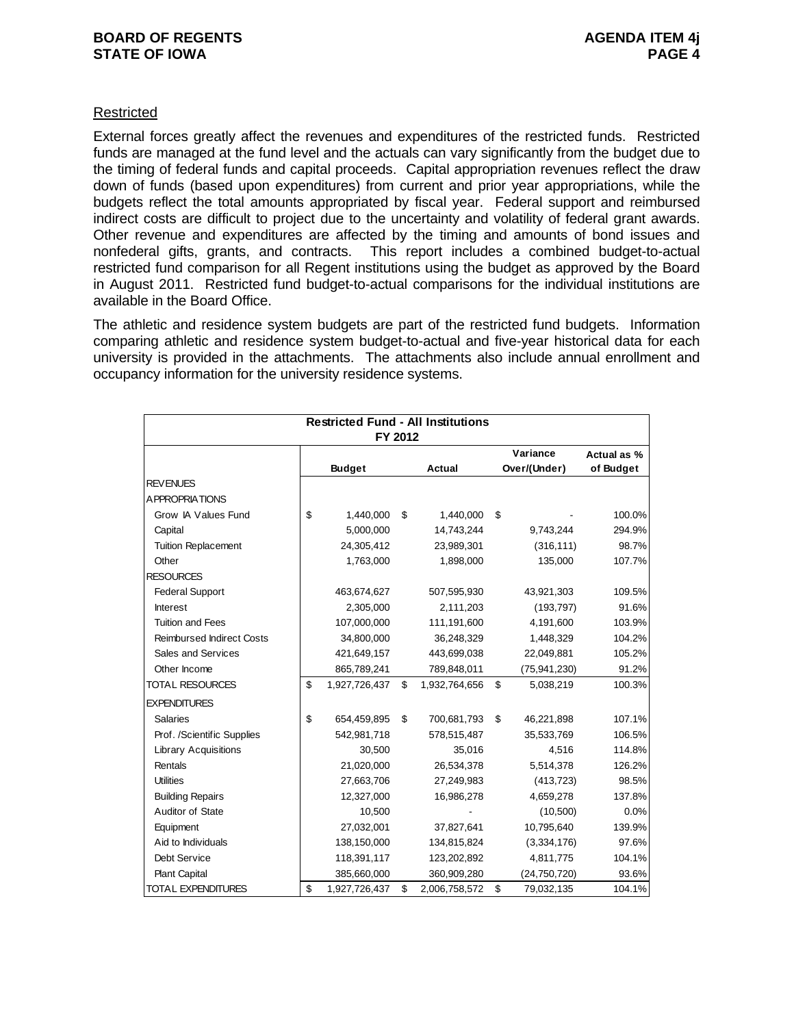## Restricted

External forces greatly affect the revenues and expenditures of the restricted funds. Restricted funds are managed at the fund level and the actuals can vary significantly from the budget due to the timing of federal funds and capital proceeds. Capital appropriation revenues reflect the draw down of funds (based upon expenditures) from current and prior year appropriations, while the budgets reflect the total amounts appropriated by fiscal year. Federal support and reimbursed indirect costs are difficult to project due to the uncertainty and volatility of federal grant awards. Other revenue and expenditures are affected by the timing and amounts of bond issues and nonfederal gifts, grants, and contracts. This report includes a combined budget-to-actual restricted fund comparison for all Regent institutions using the budget as approved by the Board in August 2011. Restricted fund budget-to-actual comparisons for the individual institutions are available in the Board Office.

The athletic and residence system budgets are part of the restricted fund budgets. Information comparing athletic and residence system budget-to-actual and five-year historical data for each university is provided in the attachments. The attachments also include annual enrollment and occupancy information for the university residence systems.

|                                  | <b>Restricted Fund - All Institutions</b> |                     |                  |             |
|----------------------------------|-------------------------------------------|---------------------|------------------|-------------|
|                                  | FY 2012                                   |                     |                  |             |
|                                  |                                           |                     | Variance         | Actual as % |
|                                  | <b>Budget</b>                             | <b>Actual</b>       | Over/(Under)     | of Budget   |
| <b>REVENUES</b>                  |                                           |                     |                  |             |
| A PPROPRIATIONS                  |                                           |                     |                  |             |
| Grow IA Values Fund              | \$<br>1,440,000                           | \$<br>1,440,000     | \$               | 100.0%      |
| Capital                          | 5,000,000                                 | 14,743,244          | 9,743,244        | 294.9%      |
| <b>Tuition Replacement</b>       | 24,305,412                                | 23,989,301          | (316, 111)       | 98.7%       |
| Other                            | 1,763,000                                 | 1,898,000           | 135,000          | 107.7%      |
| <b>RESOURCES</b>                 |                                           |                     |                  |             |
| <b>Federal Support</b>           | 463,674,627                               | 507,595,930         | 43,921,303       | 109.5%      |
| <b>Interest</b>                  | 2,305,000                                 | 2,111,203           | (193, 797)       | 91.6%       |
| <b>Tuition and Fees</b>          | 107,000,000                               | 111,191,600         | 4,191,600        | 103.9%      |
| <b>Reimbursed Indirect Costs</b> | 34,800,000                                | 36,248,329          | 1,448,329        | 104.2%      |
| Sales and Services               | 421,649,157                               | 443,699,038         | 22,049,881       | 105.2%      |
| Other Income                     | 865,789,241                               | 789,848,011         | (75, 941, 230)   | 91.2%       |
| <b>TOTAL RESOURCES</b>           | \$<br>1,927,726,437                       | \$<br>1,932,764,656 | \$<br>5,038,219  | 100.3%      |
| <b>EXPENDITURES</b>              |                                           |                     |                  |             |
| <b>Salaries</b>                  | \$<br>654,459,895                         | \$<br>700,681,793   | \$<br>46,221,898 | 107.1%      |
| Prof. /Scientific Supplies       | 542,981,718                               | 578,515,487         | 35,533,769       | 106.5%      |
| <b>Library Acquisitions</b>      | 30,500                                    | 35,016              | 4,516            | 114.8%      |
| Rentals                          | 21,020,000                                | 26,534,378          | 5,514,378        | 126.2%      |
| <b>Utilities</b>                 | 27,663,706                                | 27,249,983          | (413, 723)       | 98.5%       |
| <b>Building Repairs</b>          | 12,327,000                                | 16,986,278          | 4,659,278        | 137.8%      |
| Auditor of State                 | 10,500                                    |                     | (10,500)         | 0.0%        |
| Equipment                        | 27,032,001                                | 37,827,641          | 10,795,640       | 139.9%      |
| Aid to Individuals               | 138,150,000                               | 134,815,824         | (3,334,176)      | 97.6%       |
| Debt Service                     | 118,391,117                               | 123,202,892         | 4,811,775        | 104.1%      |
| <b>Plant Capital</b>             | 385,660,000                               | 360,909,280         | (24, 750, 720)   | 93.6%       |
| <b>TOTAL EXPENDITURES</b>        | \$<br>1,927,726,437                       | \$<br>2,006,758,572 | \$<br>79,032,135 | 104.1%      |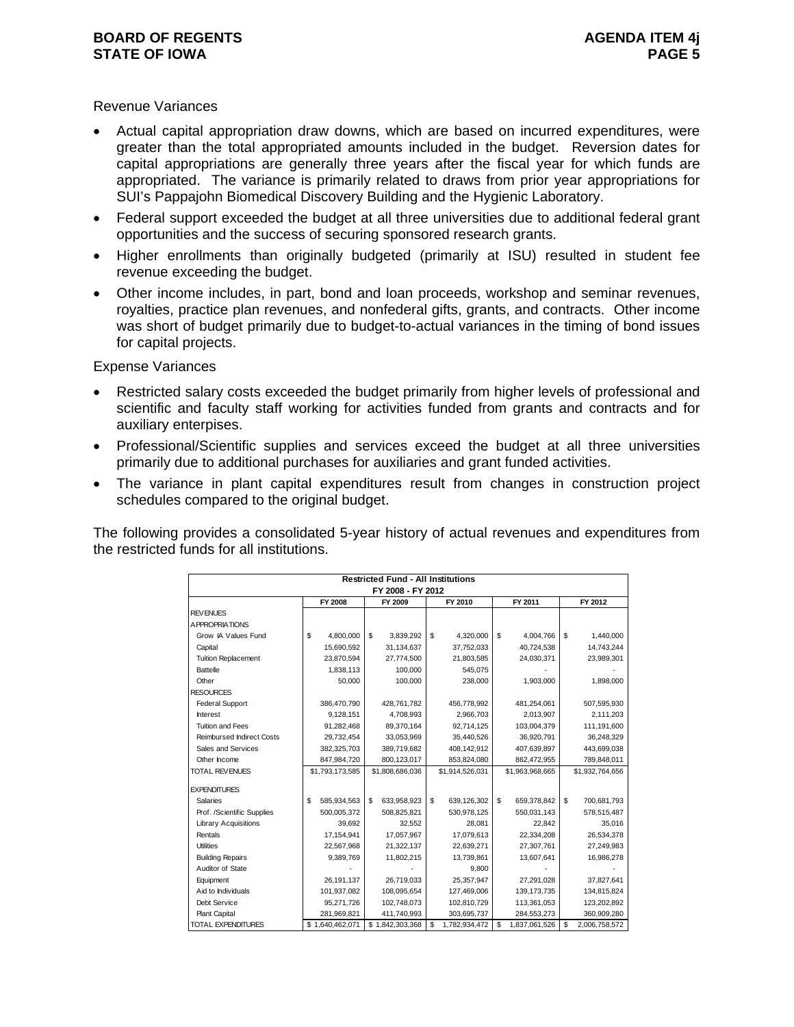#### **BOARD OF REGENTS** AGENUS AGENDA ITEM 4j **STATE OF IOWA** PAGE 5

#### Revenue Variances

- Actual capital appropriation draw downs, which are based on incurred expenditures, were greater than the total appropriated amounts included in the budget. Reversion dates for capital appropriations are generally three years after the fiscal year for which funds are appropriated. The variance is primarily related to draws from prior year appropriations for SUI's Pappajohn Biomedical Discovery Building and the Hygienic Laboratory.
- Federal support exceeded the budget at all three universities due to additional federal grant opportunities and the success of securing sponsored research grants.
- Higher enrollments than originally budgeted (primarily at ISU) resulted in student fee revenue exceeding the budget.
- Other income includes, in part, bond and loan proceeds, workshop and seminar revenues, royalties, practice plan revenues, and nonfederal gifts, grants, and contracts. Other income was short of budget primarily due to budget-to-actual variances in the timing of bond issues for capital projects.

Expense Variances

- Restricted salary costs exceeded the budget primarily from higher levels of professional and scientific and faculty staff working for activities funded from grants and contracts and for auxiliary enterpises.
- Professional/Scientific supplies and services exceed the budget at all three universities primarily due to additional purchases for auxiliaries and grant funded activities.
- The variance in plant capital expenditures result from changes in construction project schedules compared to the original budget.

The following provides a consolidated 5-year history of actual revenues and expenditures from the restricted funds for all institutions.

|                                  |                   | <b>Restricted Fund - All Institutions</b> |                     |                     |                     |
|----------------------------------|-------------------|-------------------------------------------|---------------------|---------------------|---------------------|
|                                  |                   | FY 2008 - FY 2012                         |                     |                     |                     |
|                                  | FY 2008           | FY 2009                                   | FY 2010             | FY 2011             | FY 2012             |
| <b>REVENUES</b>                  |                   |                                           |                     |                     |                     |
| <b>APPROPRIATIONS</b>            |                   |                                           |                     |                     |                     |
| Grow IA Values Fund              | \$<br>4,800,000   | \$<br>3.839.292                           | \$<br>4,320,000     | \$<br>4,004,766     | \$<br>1,440,000     |
| Capital                          | 15,690,592        | 31,134,637                                | 37,752,033          | 40,724,538          | 14,743,244          |
| <b>Tuition Replacement</b>       | 23,870,594        | 27,774,500                                | 21,803,585          | 24,030,371          | 23,989,301          |
| <b>Battelle</b>                  | 1,838,113         | 100,000                                   | 545,075             |                     |                     |
| Other                            | 50,000            | 100,000                                   | 238,000             | 1,903,000           | 1,898,000           |
| <b>RESOURCES</b>                 |                   |                                           |                     |                     |                     |
| <b>Federal Support</b>           | 386,470,790       | 428,761,782                               | 456,778,992         | 481,254,061         | 507,595,930         |
| Interest                         | 9,128,151         | 4,708,993                                 | 2.966.703           | 2,013,907           | 2,111,203           |
| <b>Tuition and Fees</b>          | 91,282,468        | 89,370,164                                | 92,714,125          | 103,004,379         | 111,191,600         |
| <b>Reimbursed Indirect Costs</b> | 29,732,454        | 33,053,969                                | 35,440,526          | 36,920,791          | 36,248,329          |
| Sales and Services               | 382,325,703       | 389,719,682                               | 408,142,912         | 407,639,897         | 443,699,038         |
| Other Income                     | 847,984,720       | 800,123,017                               | 853,824,080         | 862,472,955         | 789,848,011         |
| <b>TOTAL REVENUES</b>            | \$1,793,173,585   | \$1,808,686,036                           | \$1,914,526,031     | \$1,963,968,665     | \$1,932,764,656     |
|                                  |                   |                                           |                     |                     |                     |
| <b>EXPENDITURES</b>              |                   |                                           |                     |                     |                     |
| Salaries                         | \$<br>585,934,563 | \$.<br>633,958,923                        | \$<br>639,126,302   | \$<br>659,378,842   | \$<br>700,681,793   |
| Prof. /Scientific Supplies       | 500,005,372       | 508,825,821                               | 530,978,125         | 550,031,143         | 578,515,487         |
| <b>Library Acquisitions</b>      | 39,692            | 32,552                                    | 28,081              | 22,842              | 35,016              |
| Rentals                          | 17,154,941        | 17,057,967                                | 17,079,613          | 22,334,208          | 26,534,378          |
| <b>Utilities</b>                 | 22,567,968        | 21,322,137                                | 22,639,271          | 27,307,761          | 27,249,983          |
| <b>Building Repairs</b>          | 9,389,769         | 11,802,215                                | 13,739,861          | 13,607,641          | 16,986,278          |
| Auditor of State                 |                   |                                           | 9,800               |                     |                     |
| Equipment                        | 26,191,137        | 26,719,033                                | 25,357,947          | 27,291,028          | 37,827,641          |
| Aid to Individuals               | 101,937,082       | 108,095,654                               | 127,469,006         | 139, 173, 735       | 134,815,824         |
| Debt Service                     | 95,271,726        | 102,748,073                               | 102,810,729         | 113,361,053         | 123,202,892         |
| <b>Plant Capital</b>             | 281,969,821       | 411.740.993                               | 303,695,737         | 284,553,273         | 360,909,280         |
| TOTAL EXPENDITURES               | \$1,640,462,071   | \$1,842,303,368                           | \$<br>1,782,934,472 | \$<br>1,837,061,526 | \$<br>2,006,758,572 |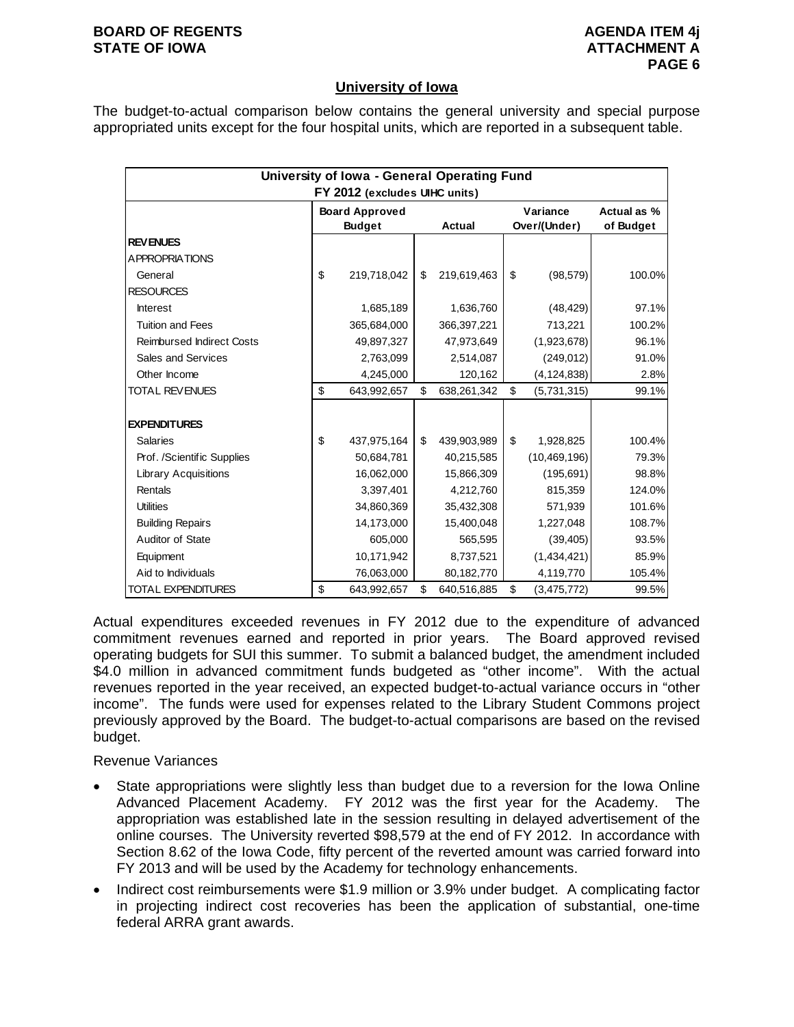#### **BOARD OF REGENTS** AGENUS AGENDA ITEM 4j **STATE OF IOWA ATTACHMENT A**

# **University of Iowa**

The budget-to-actual comparison below contains the general university and special purpose appropriated units except for the four hospital units, which are reported in a subsequent table.

|                                  |                                        |                   | University of Iowa - General Operating Fund<br>FY 2012 (excludes UIHC units) |                          |  |  |  |  |  |  |  |  |  |  |
|----------------------------------|----------------------------------------|-------------------|------------------------------------------------------------------------------|--------------------------|--|--|--|--|--|--|--|--|--|--|
|                                  | <b>Board Approved</b><br><b>Budget</b> | <b>Actual</b>     | Variance<br>Over/(Under)                                                     | Actual as %<br>of Budget |  |  |  |  |  |  |  |  |  |  |
| <b>REVENUES</b>                  |                                        |                   |                                                                              |                          |  |  |  |  |  |  |  |  |  |  |
| A PPROPRIATIONS                  |                                        |                   |                                                                              |                          |  |  |  |  |  |  |  |  |  |  |
| General                          | \$<br>219,718,042                      | \$<br>219,619,463 | \$<br>(98, 579)                                                              | 100.0%                   |  |  |  |  |  |  |  |  |  |  |
| <b>RESOURCES</b>                 |                                        |                   |                                                                              |                          |  |  |  |  |  |  |  |  |  |  |
| <b>Interest</b>                  | 1,685,189                              | 1,636,760         | (48, 429)                                                                    | 97.1%                    |  |  |  |  |  |  |  |  |  |  |
| <b>Tuition and Fees</b>          | 365,684,000                            | 366,397,221       | 713,221                                                                      | 100.2%                   |  |  |  |  |  |  |  |  |  |  |
| <b>Reimbursed Indirect Costs</b> | 49,897,327                             | 47,973,649        | (1,923,678)                                                                  | 96.1%                    |  |  |  |  |  |  |  |  |  |  |
| Sales and Services               | 2,763,099                              | 2,514,087         | (249, 012)                                                                   | 91.0%                    |  |  |  |  |  |  |  |  |  |  |
| Other Income                     | 4,245,000                              | 120,162           | (4, 124, 838)                                                                | 2.8%                     |  |  |  |  |  |  |  |  |  |  |
| <b>TOTAL REVENUES</b>            | \$<br>643,992,657                      | \$<br>638,261,342 | \$<br>(5,731,315)                                                            | 99.1%                    |  |  |  |  |  |  |  |  |  |  |
|                                  |                                        |                   |                                                                              |                          |  |  |  |  |  |  |  |  |  |  |
| <b>EXPENDITURES</b>              |                                        |                   |                                                                              |                          |  |  |  |  |  |  |  |  |  |  |
| <b>Salaries</b>                  | \$<br>437,975,164                      | \$<br>439,903,989 | \$<br>1,928,825                                                              | 100.4%                   |  |  |  |  |  |  |  |  |  |  |
| Prof. /Scientific Supplies       | 50,684,781                             | 40,215,585        | (10, 469, 196)                                                               | 79.3%                    |  |  |  |  |  |  |  |  |  |  |
| <b>Library Acquisitions</b>      | 16,062,000                             | 15,866,309        | (195, 691)                                                                   | 98.8%                    |  |  |  |  |  |  |  |  |  |  |
| Rentals                          | 3,397,401                              | 4,212,760         | 815,359                                                                      | 124.0%                   |  |  |  |  |  |  |  |  |  |  |
| <b>Utilities</b>                 | 34,860,369                             | 35,432,308        | 571,939                                                                      | 101.6%                   |  |  |  |  |  |  |  |  |  |  |
| <b>Building Repairs</b>          | 14,173,000                             | 15,400,048        | 1,227,048                                                                    | 108.7%                   |  |  |  |  |  |  |  |  |  |  |
| Auditor of State                 | 605,000                                | 565,595           | (39, 405)                                                                    | 93.5%                    |  |  |  |  |  |  |  |  |  |  |
| Equipment                        | 10,171,942                             | 8,737,521         | (1,434,421)                                                                  | 85.9%                    |  |  |  |  |  |  |  |  |  |  |
| Aid to Individuals               | 76,063,000                             | 80,182,770        | 4,119,770                                                                    | 105.4%                   |  |  |  |  |  |  |  |  |  |  |
| <b>TOTAL EXPENDITURES</b>        | \$<br>643,992,657                      | \$<br>640,516,885 | \$<br>(3,475,772)                                                            | 99.5%                    |  |  |  |  |  |  |  |  |  |  |

Actual expenditures exceeded revenues in FY 2012 due to the expenditure of advanced commitment revenues earned and reported in prior years. The Board approved revised operating budgets for SUI this summer. To submit a balanced budget, the amendment included \$4.0 million in advanced commitment funds budgeted as "other income". With the actual revenues reported in the year received, an expected budget-to-actual variance occurs in "other income". The funds were used for expenses related to the Library Student Commons project previously approved by the Board. The budget-to-actual comparisons are based on the revised budget.

# Revenue Variances

- State appropriations were slightly less than budget due to a reversion for the Iowa Online Advanced Placement Academy. FY 2012 was the first year for the Academy. The appropriation was established late in the session resulting in delayed advertisement of the online courses. The University reverted \$98,579 at the end of FY 2012. In accordance with Section 8.62 of the Iowa Code, fifty percent of the reverted amount was carried forward into FY 2013 and will be used by the Academy for technology enhancements.
- Indirect cost reimbursements were \$1.9 million or 3.9% under budget. A complicating factor in projecting indirect cost recoveries has been the application of substantial, one-time federal ARRA grant awards.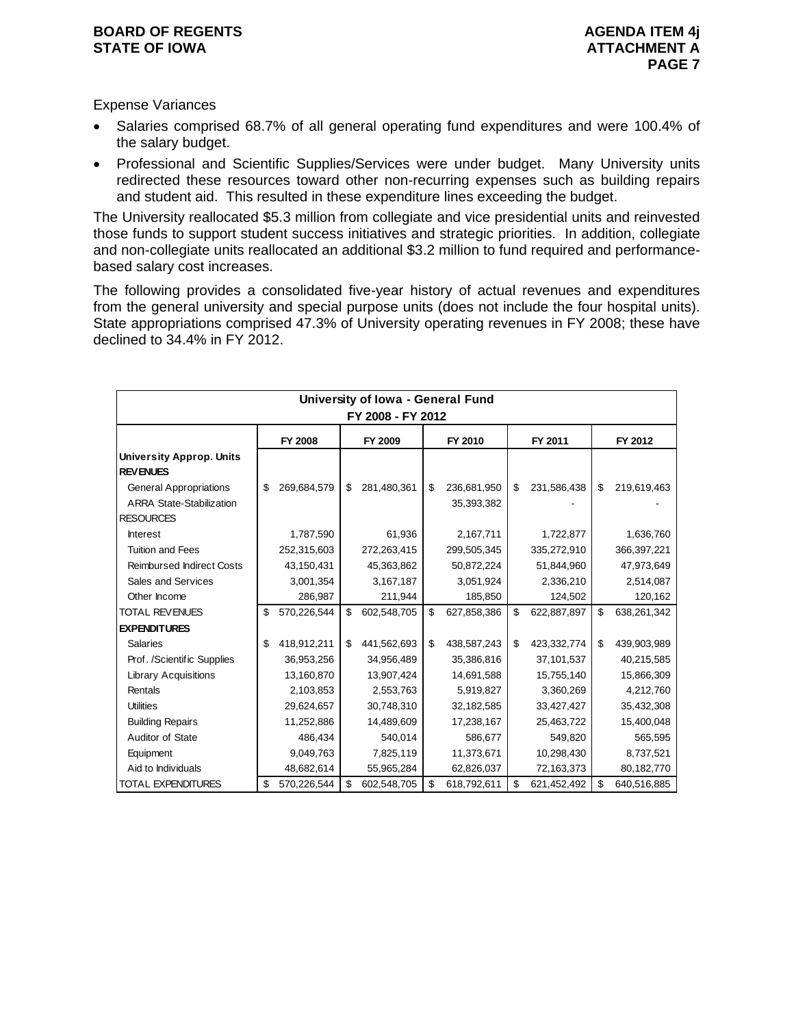Expense Variances

- Salaries comprised 68.7% of all general operating fund expenditures and were 100.4% of the salary budget.
- Professional and Scientific Supplies/Services were under budget. Many University units redirected these resources toward other non-recurring expenses such as building repairs and student aid. This resulted in these expenditure lines exceeding the budget.

The University reallocated \$5.3 million from collegiate and vice presidential units and reinvested those funds to support student success initiatives and strategic priorities. In addition, collegiate and non-collegiate units reallocated an additional \$3.2 million to fund required and performancebased salary cost increases.

The following provides a consolidated five-year history of actual revenues and expenditures from the general university and special purpose units (does not include the four hospital units). State appropriations comprised 47.3% of University operating revenues in FY 2008; these have declined to 34.4% in FY 2012.

|                                                                  |                   | University of Iowa - General Fund |                                 |                   |                   |
|------------------------------------------------------------------|-------------------|-----------------------------------|---------------------------------|-------------------|-------------------|
|                                                                  |                   | FY 2008 - FY 2012                 |                                 |                   |                   |
|                                                                  | <b>FY 2008</b>    | FY 2009                           | FY 2010                         | FY 2011           | FY 2012           |
| <b>University Approp. Units</b><br><b>REVENUES</b>               |                   |                                   |                                 |                   |                   |
| <b>General Appropriations</b><br><b>ARRA State-Stabilization</b> | \$<br>269,684,579 | \$<br>281,480,361                 | \$<br>236,681,950<br>35,393,382 | \$<br>231,586,438 | \$<br>219,619,463 |
| <b>RESOURCES</b>                                                 |                   |                                   |                                 |                   |                   |
| <b>Interest</b>                                                  | 1,787,590         | 61,936                            | 2,167,711                       | 1,722,877         | 1,636,760         |
| <b>Tuition and Fees</b>                                          | 252,315,603       | 272,263,415                       | 299,505,345                     | 335,272,910       | 366,397,221       |
| <b>Reimbursed Indirect Costs</b>                                 | 43,150,431        | 45,363,862                        | 50,872,224                      | 51,844,960        | 47,973,649        |
| Sales and Services                                               | 3,001,354         | 3,167,187                         | 3,051,924                       | 2,336,210         | 2,514,087         |
| Other Income                                                     | 286,987           | 211,944                           | 185,850                         | 124,502           | 120,162           |
| <b>TOTAL REVENUES</b>                                            | \$<br>570,226,544 | \$<br>602,548,705                 | \$<br>627,858,386               | \$<br>622,887,897 | \$<br>638,261,342 |
| <b>EXPENDITURES</b>                                              |                   |                                   |                                 |                   |                   |
| <b>Salaries</b>                                                  | \$<br>418,912,211 | \$<br>441,562,693                 | \$<br>438,587,243               | \$<br>423,332,774 | \$<br>439,903,989 |
| Prof. /Scientific Supplies                                       | 36,953,256        | 34,956,489                        | 35,386,816                      | 37,101,537        | 40,215,585        |
| <b>Library Acquisitions</b>                                      | 13,160,870        | 13,907,424                        | 14,691,588                      | 15,755,140        | 15,866,309        |
| Rentals                                                          | 2,103,853         | 2,553,763                         | 5,919,827                       | 3,360,269         | 4,212,760         |
| <b>Utilities</b>                                                 | 29,624,657        | 30,748,310                        | 32,182,585                      | 33,427,427        | 35,432,308        |
| <b>Building Repairs</b>                                          | 11,252,886        | 14,489,609                        | 17,238,167                      | 25,463,722        | 15,400,048        |
| Auditor of State                                                 | 486,434           | 540,014                           | 586,677                         | 549,820           | 565,595           |
| Equipment                                                        | 9,049,763         | 7,825,119                         | 11,373,671                      | 10,298,430        | 8,737,521         |
| Aid to Individuals                                               | 48,682,614        | 55,965,284                        | 62,826,037                      | 72,163,373        | 80,182,770        |
| <b>TOTAL EXPENDITURES</b>                                        | \$<br>570,226,544 | \$<br>602,548,705                 | \$<br>618,792,611               | \$<br>621,452,492 | \$<br>640,516,885 |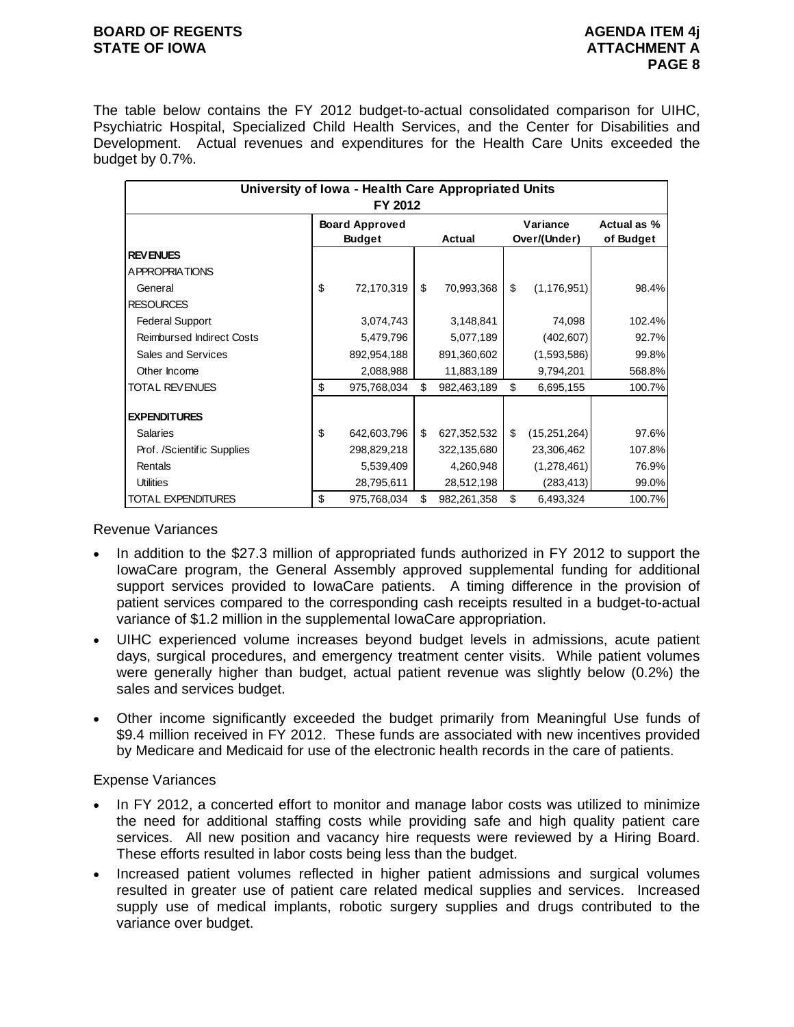#### **BOARD OF REGENTS** AGENUS AGENDA ITEM 4j **STATE OF IOWA ATTACHMENT A**

The table below contains the FY 2012 budget-to-actual consolidated comparison for UIHC, Psychiatric Hospital, Specialized Child Health Services, and the Center for Disabilities and Development. Actual revenues and expenditures for the Health Care Units exceeded the budget by 0.7%.

|                                  | University of Iowa - Health Care Appropriated Units<br>FY 2012 |                       |          |             |    |                |           |  |  |  |  |
|----------------------------------|----------------------------------------------------------------|-----------------------|----------|-------------|----|----------------|-----------|--|--|--|--|
|                                  |                                                                | <b>Board Approved</b> | Variance | Actual as % |    |                |           |  |  |  |  |
|                                  |                                                                | <b>Budget</b>         |          | Actual      |    | Over/(Under)   | of Budget |  |  |  |  |
| <b>REVENUES</b>                  |                                                                |                       |          |             |    |                |           |  |  |  |  |
| A PPROPRIATIONS                  |                                                                |                       |          |             |    |                |           |  |  |  |  |
| General                          | \$                                                             | 72,170,319            | \$       | 70,993,368  | \$ | (1, 176, 951)  | 98.4%     |  |  |  |  |
| <b>RESOURCES</b>                 |                                                                |                       |          |             |    |                |           |  |  |  |  |
| <b>Federal Support</b>           |                                                                | 3,074,743             |          | 3,148,841   |    | 74,098         | 102.4%    |  |  |  |  |
| <b>Reimbursed Indirect Costs</b> |                                                                | 5,479,796             |          | 5,077,189   |    | (402, 607)     | 92.7%     |  |  |  |  |
| Sales and Services               |                                                                | 892,954,188           |          | 891,360,602 |    | (1,593,586)    | 99.8%     |  |  |  |  |
| Other Income                     |                                                                | 2,088,988             |          | 11,883,189  |    | 9,794,201      | 568.8%    |  |  |  |  |
| <b>TOTAL REVENUES</b>            | \$                                                             | 975,768,034           | \$       | 982,463,189 | \$ | 6,695,155      | 100.7%    |  |  |  |  |
| <b>EXPENDITURES</b>              |                                                                |                       |          |             |    |                |           |  |  |  |  |
| <b>Salaries</b>                  | \$                                                             | 642,603,796           | \$       | 627,352,532 | \$ | (15, 251, 264) | 97.6%     |  |  |  |  |
| Prof. /Scientific Supplies       |                                                                | 298,829,218           |          | 322,135,680 |    | 23,306,462     | 107.8%    |  |  |  |  |
| Rentals                          |                                                                | 5,539,409             |          | 4,260,948   |    | (1,278,461)    | 76.9%     |  |  |  |  |
| <b>Utilities</b>                 |                                                                | 28,795,611            |          | 28,512,198  |    | (283, 413)     | 99.0%     |  |  |  |  |
| TOTAL EXPENDITURES               | \$                                                             | 975,768,034           | \$       | 982,261,358 | \$ | 6,493,324      | 100.7%    |  |  |  |  |

#### Revenue Variances

- In addition to the \$27.3 million of appropriated funds authorized in FY 2012 to support the IowaCare program, the General Assembly approved supplemental funding for additional support services provided to IowaCare patients. A timing difference in the provision of patient services compared to the corresponding cash receipts resulted in a budget-to-actual variance of \$1.2 million in the supplemental IowaCare appropriation.
- UIHC experienced volume increases beyond budget levels in admissions, acute patient days, surgical procedures, and emergency treatment center visits. While patient volumes were generally higher than budget, actual patient revenue was slightly below (0.2%) the sales and services budget.
- Other income significantly exceeded the budget primarily from Meaningful Use funds of \$9.4 million received in FY 2012. These funds are associated with new incentives provided by Medicare and Medicaid for use of the electronic health records in the care of patients.

# Expense Variances

- In FY 2012, a concerted effort to monitor and manage labor costs was utilized to minimize the need for additional staffing costs while providing safe and high quality patient care services. All new position and vacancy hire requests were reviewed by a Hiring Board. These efforts resulted in labor costs being less than the budget.
- Increased patient volumes reflected in higher patient admissions and surgical volumes resulted in greater use of patient care related medical supplies and services. Increased supply use of medical implants, robotic surgery supplies and drugs contributed to the variance over budget.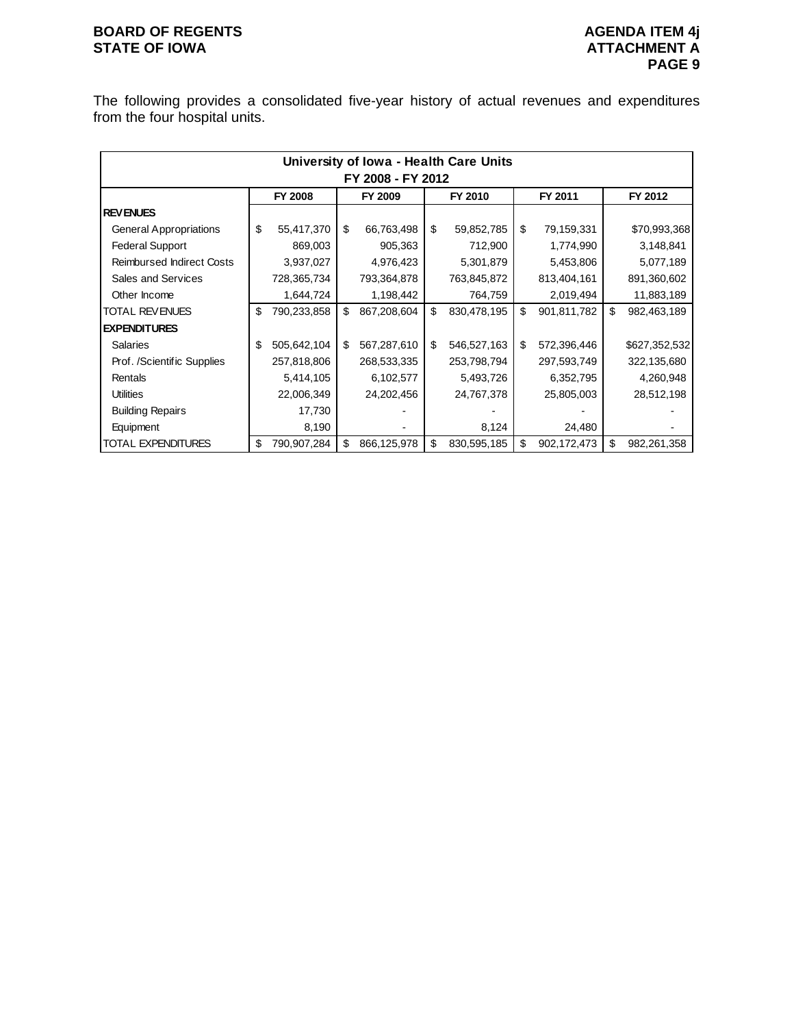# **BOARD OF REGENTS**<br> **BOARD OF REGENTS**<br> **BOARD OF IOWA**<br> **ATTACHMENT A**

The following provides a consolidated five-year history of actual revenues and expenditures from the four hospital units.

|                                  |                   |             |    |             |    | University of Iowa - Health Care Units |    |             |    |               |  |  |  |  |
|----------------------------------|-------------------|-------------|----|-------------|----|----------------------------------------|----|-------------|----|---------------|--|--|--|--|
|                                  | FY 2008 - FY 2012 |             |    |             |    |                                        |    |             |    |               |  |  |  |  |
|                                  |                   | FY 2008     |    | FY 2009     |    | FY 2010                                |    | FY 2011     |    | FY 2012       |  |  |  |  |
| <b>REVENUES</b>                  |                   |             |    |             |    |                                        |    |             |    |               |  |  |  |  |
| <b>General Appropriations</b>    | \$                | 55,417,370  | \$ | 66,763,498  | \$ | 59,852,785                             | \$ | 79,159,331  |    | \$70,993,368  |  |  |  |  |
| <b>Federal Support</b>           |                   | 869,003     |    | 905,363     |    | 712,900                                |    | 1,774,990   |    | 3,148,841     |  |  |  |  |
| <b>Reimbursed Indirect Costs</b> |                   | 3,937,027   |    | 4,976,423   |    | 5,301,879                              |    | 5,453,806   |    | 5,077,189     |  |  |  |  |
| Sales and Services               |                   | 728,365,734 |    | 793,364,878 |    | 763,845,872                            |    | 813,404,161 |    | 891,360,602   |  |  |  |  |
| Other Income                     |                   | 1,644,724   |    | 1,198,442   |    | 764,759                                |    | 2,019,494   |    | 11,883,189    |  |  |  |  |
| <b>TOTAL REVENUES</b>            | \$                | 790,233,858 | \$ | 867,208,604 | \$ | 830,478,195                            | \$ | 901,811,782 | \$ | 982,463,189   |  |  |  |  |
| <b>EXPENDITURES</b>              |                   |             |    |             |    |                                        |    |             |    |               |  |  |  |  |
| <b>Salaries</b>                  | \$                | 505,642,104 | \$ | 567,287,610 | \$ | 546,527,163                            | \$ | 572,396,446 |    | \$627,352,532 |  |  |  |  |
| Prof. /Scientific Supplies       |                   | 257,818,806 |    | 268,533,335 |    | 253,798,794                            |    | 297,593,749 |    | 322,135,680   |  |  |  |  |
| Rentals                          |                   | 5,414,105   |    | 6,102,577   |    | 5,493,726                              |    | 6,352,795   |    | 4,260,948     |  |  |  |  |
| <b>Utilities</b>                 |                   | 22,006,349  |    | 24,202,456  |    | 24,767,378                             |    | 25,805,003  |    | 28,512,198    |  |  |  |  |
| <b>Building Repairs</b>          |                   | 17,730      |    |             |    |                                        |    |             |    |               |  |  |  |  |
| Equipment                        |                   | 8,190       |    |             |    | 8,124                                  |    | 24,480      |    |               |  |  |  |  |
| <b>TOTAL EXPENDITURES</b>        | \$                | 790,907,284 | \$ | 866,125,978 | \$ | 830,595,185                            | \$ | 902,172,473 | \$ | 982,261,358   |  |  |  |  |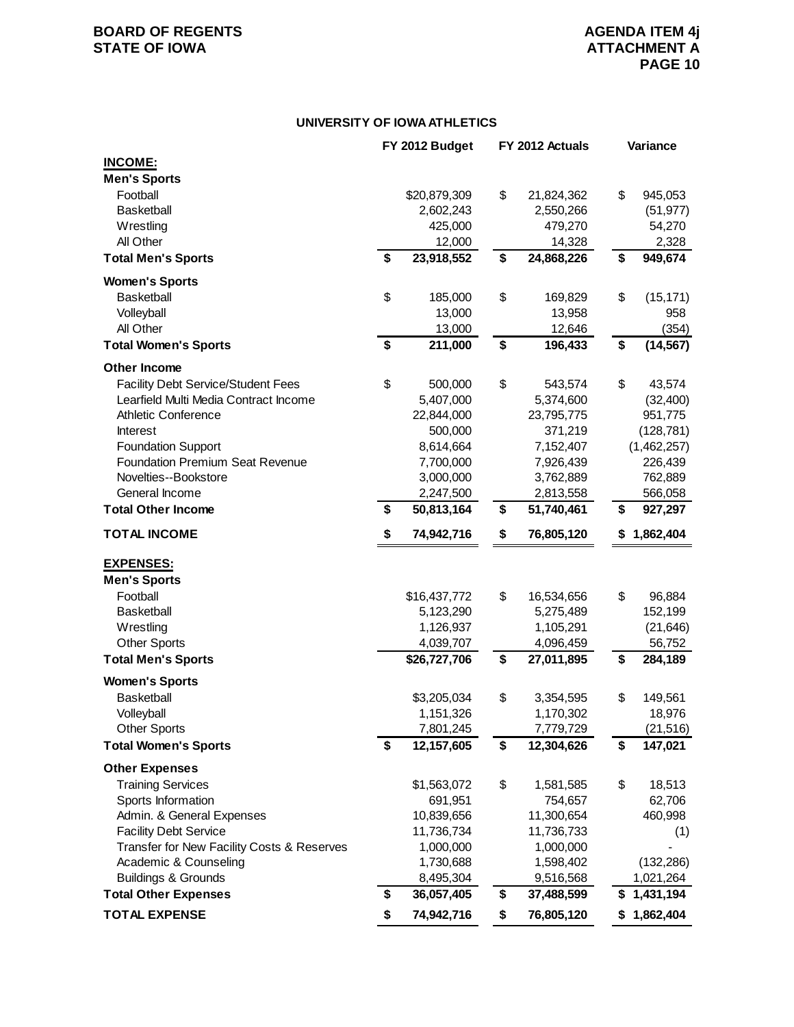# **BOARD OF REGENTS**<br> **BOARD OF REGENTS**<br> **STATE OF IOWA**<br> **ATTACHMENT A**

#### **UNIVERSITY OF IOWA ATHLETICS**

|                                            | FY 2012 Budget   | FY 2012 Actuals  | Variance        |
|--------------------------------------------|------------------|------------------|-----------------|
| <b>INCOME:</b>                             |                  |                  |                 |
| <b>Men's Sports</b>                        |                  |                  |                 |
| Football                                   | \$20,879,309     | \$<br>21,824,362 | \$<br>945,053   |
| <b>Basketball</b>                          | 2,602,243        | 2,550,266        | (51, 977)       |
| Wrestling                                  | 425,000          | 479,270          | 54,270          |
| All Other                                  | 12,000           | 14,328           | 2,328           |
| <b>Total Men's Sports</b>                  | \$<br>23,918,552 | \$<br>24,868,226 | \$<br>949,674   |
| <b>Women's Sports</b>                      |                  |                  |                 |
| <b>Basketball</b>                          | \$<br>185,000    | \$<br>169,829    | \$<br>(15, 171) |
| Volleyball                                 | 13,000           | 13,958           | 958             |
| All Other                                  | 13,000           | 12,646           | (354)           |
| <b>Total Women's Sports</b>                | \$<br>211,000    | \$<br>196,433    | \$<br>(14, 567) |
| <b>Other Income</b>                        |                  |                  |                 |
| <b>Facility Debt Service/Student Fees</b>  | \$<br>500,000    | \$<br>543,574    | \$<br>43,574    |
| Learfield Multi Media Contract Income      | 5,407,000        | 5,374,600        | (32, 400)       |
| Athletic Conference                        | 22,844,000       | 23,795,775       | 951,775         |
| <b>Interest</b>                            | 500,000          | 371,219          | (128, 781)      |
| <b>Foundation Support</b>                  | 8,614,664        | 7,152,407        | (1,462,257)     |
| <b>Foundation Premium Seat Revenue</b>     | 7,700,000        | 7,926,439        | 226,439         |
| Novelties--Bookstore                       | 3,000,000        | 3,762,889        | 762,889         |
| General Income                             | 2,247,500        | 2,813,558        | 566,058         |
| <b>Total Other Income</b>                  | \$<br>50,813,164 | \$<br>51,740,461 | \$<br>927,297   |
|                                            | \$               |                  |                 |
| <b>TOTAL INCOME</b>                        | 74,942,716       | \$<br>76,805,120 | \$1,862,404     |
| <b>EXPENSES:</b>                           |                  |                  |                 |
| <b>Men's Sports</b>                        |                  |                  |                 |
| Football                                   | \$16,437,772     | \$<br>16,534,656 | \$<br>96,884    |
| <b>Basketball</b>                          | 5,123,290        | 5,275,489        | 152,199         |
| Wrestling                                  | 1,126,937        | 1,105,291        | (21, 646)       |
| <b>Other Sports</b>                        | 4,039,707        | 4,096,459        | 56,752          |
| <b>Total Men's Sports</b>                  | \$26,727,706     | \$<br>27,011,895 | \$<br>284,189   |
| <b>Women's Sports</b>                      |                  |                  |                 |
| <b>Basketball</b>                          | \$3,205,034      | \$<br>3,354,595  | \$<br>149,561   |
| Volleyball                                 | 1,151,326        | 1,170,302        | 18,976          |
| <b>Other Sports</b>                        | 7,801,245        | 7,779,729        | (21, 516)       |
| <b>Total Women's Sports</b>                | \$<br>12,157,605 | \$<br>12,304,626 | \$<br>147,021   |
| <b>Other Expenses</b>                      |                  |                  |                 |
| <b>Training Services</b>                   | \$1,563,072      | \$<br>1,581,585  | \$<br>18,513    |
| Sports Information                         | 691,951          | 754,657          | 62,706          |
| Admin. & General Expenses                  | 10,839,656       | 11,300,654       | 460,998         |
| <b>Facility Debt Service</b>               | 11,736,734       | 11,736,733       | (1)             |
| Transfer for New Facility Costs & Reserves | 1,000,000        | 1,000,000        |                 |
| Academic & Counseling                      | 1,730,688        | 1,598,402        | (132, 286)      |
| <b>Buildings &amp; Grounds</b>             | 8,495,304        | 9,516,568        | 1,021,264       |
| <b>Total Other Expenses</b>                | \$<br>36,057,405 | \$<br>37,488,599 | \$<br>1,431,194 |
| <b>TOTAL EXPENSE</b>                       | \$<br>74,942,716 | \$<br>76,805,120 | \$1,862,404     |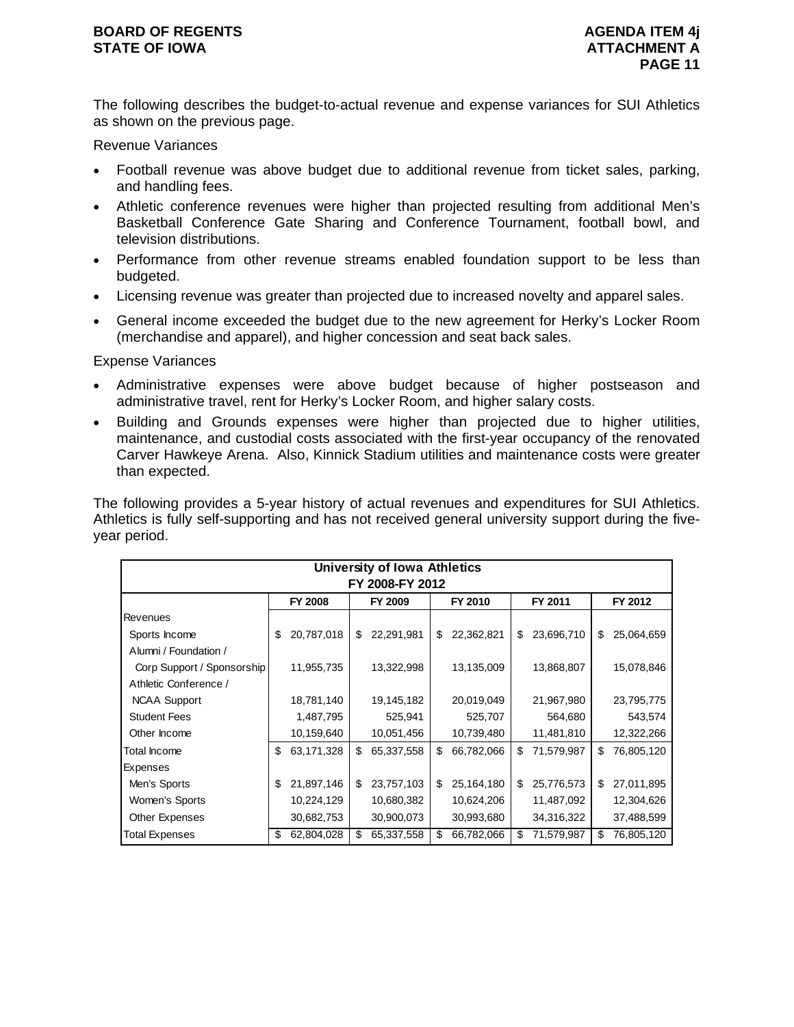The following describes the budget-to-actual revenue and expense variances for SUI Athletics as shown on the previous page.

Revenue Variances

- Football revenue was above budget due to additional revenue from ticket sales, parking, and handling fees.
- Athletic conference revenues were higher than projected resulting from additional Men's Basketball Conference Gate Sharing and Conference Tournament, football bowl, and television distributions.
- Performance from other revenue streams enabled foundation support to be less than budgeted.
- Licensing revenue was greater than projected due to increased novelty and apparel sales.
- General income exceeded the budget due to the new agreement for Herky's Locker Room (merchandise and apparel), and higher concession and seat back sales.

Expense Variances

- Administrative expenses were above budget because of higher postseason and administrative travel, rent for Herky's Locker Room, and higher salary costs.
- Building and Grounds expenses were higher than projected due to higher utilities, maintenance, and custodial costs associated with the first-year occupancy of the renovated Carver Hawkeye Arena. Also, Kinnick Stadium utilities and maintenance costs were greater than expected.

The following provides a 5-year history of actual revenues and expenditures for SUI Athletics. Athletics is fully self-supporting and has not received general university support during the fiveyear period.

|                            |    |                |    | University of Iowa Athletics |    |            |    |            |    |            |  |
|----------------------------|----|----------------|----|------------------------------|----|------------|----|------------|----|------------|--|
| FY 2008-FY 2012            |    |                |    |                              |    |            |    |            |    |            |  |
|                            |    | <b>FY 2008</b> |    | FY 2009                      |    | FY 2010    |    | FY 2011    |    | FY 2012    |  |
| <b>Revenues</b>            |    |                |    |                              |    |            |    |            |    |            |  |
| Sports Income              | \$ | 20,787,018     | \$ | 22,291,981                   | \$ | 22,362,821 | \$ | 23,696,710 | \$ | 25,064,659 |  |
| Alumni / Foundation /      |    |                |    |                              |    |            |    |            |    |            |  |
| Corp Support / Sponsorship |    | 11,955,735     |    | 13,322,998                   |    | 13,135,009 |    | 13,868,807 |    | 15,078,846 |  |
| Athletic Conference /      |    |                |    |                              |    |            |    |            |    |            |  |
| <b>NCAA Support</b>        |    | 18,781,140     |    | 19,145,182                   |    | 20,019,049 |    | 21,967,980 |    | 23,795,775 |  |
| <b>Student Fees</b>        |    | 1,487,795      |    | 525,941                      |    | 525,707    |    | 564,680    |    | 543,574    |  |
| Other Income               |    | 10,159,640     |    | 10,051,456                   |    | 10,739,480 |    | 11,481,810 |    | 12,322,266 |  |
| Total Income               | \$ | 63,171,328     | \$ | 65,337,558                   | \$ | 66,782,066 | \$ | 71,579,987 | \$ | 76,805,120 |  |
| Expenses                   |    |                |    |                              |    |            |    |            |    |            |  |
| Men's Sports               | \$ | 21,897,146     | \$ | 23,757,103                   | \$ | 25,164,180 | \$ | 25,776,573 | \$ | 27,011,895 |  |
| Women's Sports             |    | 10,224,129     |    | 10,680,382                   |    | 10,624,206 |    | 11,487,092 |    | 12,304,626 |  |
| Other Expenses             |    | 30,682,753     |    | 30,900,073                   |    | 30,993,680 |    | 34,316,322 |    | 37,488,599 |  |
| <b>Total Expenses</b>      | \$ | 62,804,028     | \$ | 65,337,558                   | \$ | 66,782,066 | \$ | 71,579,987 | \$ | 76,805,120 |  |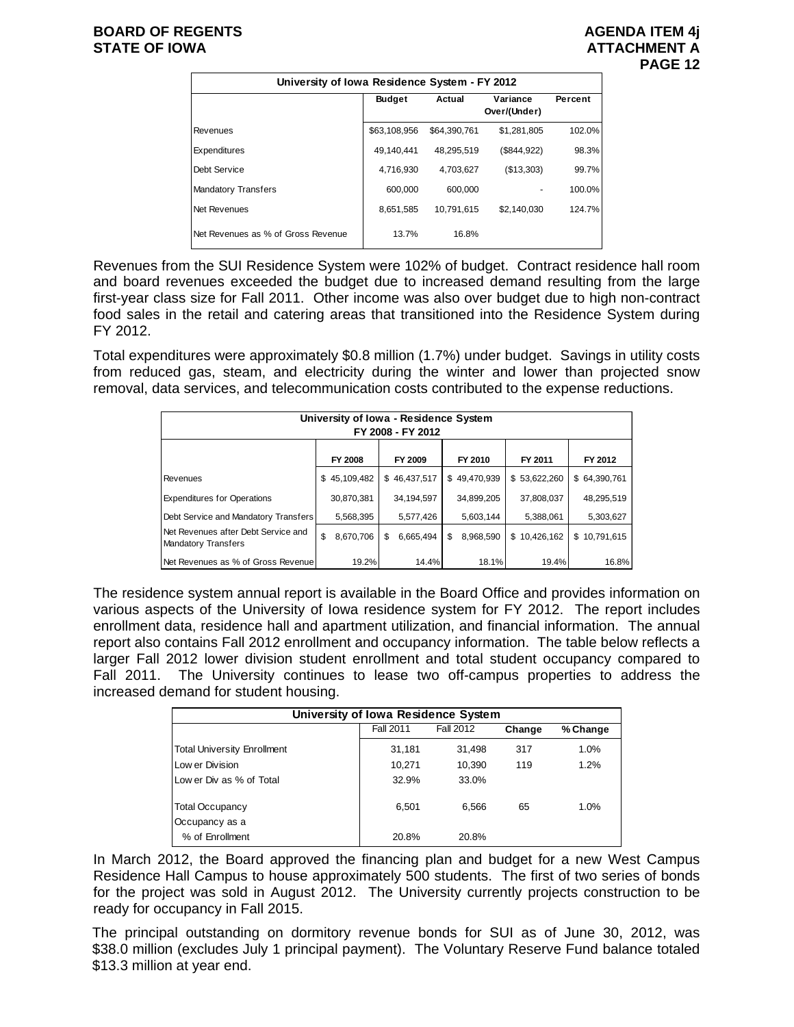|                                    | University of Iowa Residence System - FY 2012 |              |                          |         |  |  |  |  |  |  |  |
|------------------------------------|-----------------------------------------------|--------------|--------------------------|---------|--|--|--|--|--|--|--|
|                                    | <b>Budget</b>                                 | Actual       | Variance<br>Over/(Under) | Percent |  |  |  |  |  |  |  |
| Revenues                           | \$63,108,956                                  | \$64,390,761 | \$1,281,805              | 102.0%  |  |  |  |  |  |  |  |
| Expenditures                       | 49.140.441                                    | 48.295.519   | (\$844,922)              | 98.3%   |  |  |  |  |  |  |  |
| Debt Service                       | 4,716,930                                     | 4.703.627    | (\$13,303)               | 99.7%   |  |  |  |  |  |  |  |
| <b>Mandatory Transfers</b>         | 600,000                                       | 600.000      |                          | 100.0%  |  |  |  |  |  |  |  |
| Net Revenues                       | 8,651,585                                     | 10.791.615   | \$2,140,030              | 124.7%  |  |  |  |  |  |  |  |
| Net Revenues as % of Gross Revenue | 13.7%                                         | 16.8%        |                          |         |  |  |  |  |  |  |  |

Revenues from the SUI Residence System were 102% of budget. Contract residence hall room and board revenues exceeded the budget due to increased demand resulting from the large first-year class size for Fall 2011. Other income was also over budget due to high non-contract food sales in the retail and catering areas that transitioned into the Residence System during FY 2012.

Total expenditures were approximately \$0.8 million (1.7%) under budget. Savings in utility costs from reduced gas, steam, and electricity during the winter and lower than projected snow removal, data services, and telecommunication costs contributed to the expense reductions.

| University of Iowa - Residence System<br>FY 2008 - FY 2012        |    |                |    |              |    |              |  |              |  |              |
|-------------------------------------------------------------------|----|----------------|----|--------------|----|--------------|--|--------------|--|--------------|
|                                                                   |    | <b>FY 2008</b> |    | FY 2009      |    | FY 2010      |  | FY 2011      |  | FY 2012      |
| Revenues                                                          | \$ | 45,109,482     |    | \$46,437,517 |    | \$49,470,939 |  | \$53,622,260 |  | \$64.390.761 |
| <b>Expenditures for Operations</b>                                |    | 30,870,381     |    | 34,194,597   |    | 34,899,205   |  | 37,808,037   |  | 48,295,519   |
| Debt Service and Mandatory Transfers                              |    | 5,568,395      |    | 5,577,426    |    | 5,603,144    |  | 5,388,061    |  | 5,303,627    |
| Net Revenues after Debt Service and<br><b>Mandatory Transfers</b> | \$ | 8,670,706      | \$ | 6,665,494    | \$ | 8,968,590    |  | \$10,426,162 |  | \$10,791,615 |
| Net Revenues as % of Gross Revenue                                |    | 19.2%          |    | 14.4%        |    | 18.1%        |  | 19.4%        |  | 16.8%        |

The residence system annual report is available in the Board Office and provides information on various aspects of the University of Iowa residence system for FY 2012. The report includes enrollment data, residence hall and apartment utilization, and financial information. The annual report also contains Fall 2012 enrollment and occupancy information. The table below reflects a larger Fall 2012 lower division student enrollment and total student occupancy compared to Fall 2011. The University continues to lease two off-campus properties to address the increased demand for student housing.

| University of Iowa Residence System |                  |           |        |          |  |  |  |  |
|-------------------------------------|------------------|-----------|--------|----------|--|--|--|--|
|                                     | <b>Fall 2011</b> | Fall 2012 | Change | % Change |  |  |  |  |
| <b>Total University Enrollment</b>  | 31,181           | 31,498    | 317    | 1.0%     |  |  |  |  |
| Low er Division                     | 10,271           | 10,390    | 119    | 1.2%     |  |  |  |  |
| Low er Div as % of Total            | 32.9%            | 33.0%     |        |          |  |  |  |  |
| <b>Total Occupancy</b>              | 6,501            | 6,566     | 65     | 1.0%     |  |  |  |  |
| Occupancy as a                      |                  |           |        |          |  |  |  |  |
| % of Enrollment                     | 20.8%            | 20.8%     |        |          |  |  |  |  |

In March 2012, the Board approved the financing plan and budget for a new West Campus Residence Hall Campus to house approximately 500 students. The first of two series of bonds for the project was sold in August 2012. The University currently projects construction to be ready for occupancy in Fall 2015.

The principal outstanding on dormitory revenue bonds for SUI as of June 30, 2012, was \$38.0 million (excludes July 1 principal payment). The Voluntary Reserve Fund balance totaled \$13.3 million at year end.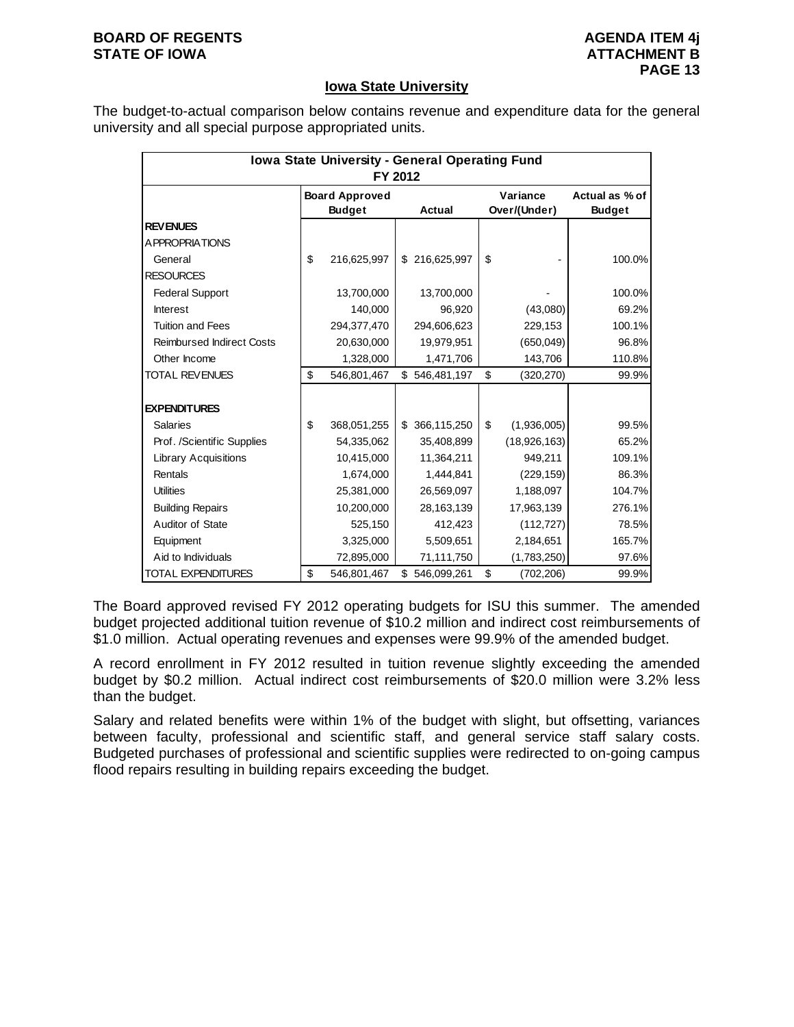#### **BOARD OF REGENTS** AGENUS AGENDA ITEM 4j **STATE OF IOWA** AND **ATTACHMENT B**

#### **Iowa State University**

The budget-to-actual comparison below contains revenue and expenditure data for the general university and all special purpose appropriated units.

| Iowa State University - General Operating Fund<br>FY 2012 |    |                                        |    |               |    |                          |                                 |  |  |
|-----------------------------------------------------------|----|----------------------------------------|----|---------------|----|--------------------------|---------------------------------|--|--|
|                                                           |    | <b>Board Approved</b><br><b>Budget</b> |    | Actual        |    | Variance<br>Over/(Under) | Actual as % of<br><b>Budget</b> |  |  |
| <b>REV ENUES</b>                                          |    |                                        |    |               |    |                          |                                 |  |  |
| <b>APPROPRIATIONS</b>                                     |    |                                        |    |               |    |                          |                                 |  |  |
| General                                                   | \$ | 216,625,997                            |    | \$216,625,997 | \$ |                          | 100.0%                          |  |  |
| <b>RESOURCES</b>                                          |    |                                        |    |               |    |                          |                                 |  |  |
| <b>Federal Support</b>                                    |    | 13,700,000                             |    | 13,700,000    |    |                          | 100.0%                          |  |  |
| <b>Interest</b>                                           |    | 140,000                                |    | 96,920        |    | (43,080)                 | 69.2%                           |  |  |
| <b>Tuition and Fees</b>                                   |    | 294,377,470                            |    | 294,606,623   |    | 229,153                  | 100.1%                          |  |  |
| <b>Reimbursed Indirect Costs</b>                          |    | 20,630,000                             |    | 19,979,951    |    | (650, 049)               | 96.8%                           |  |  |
| Other Income                                              |    | 1,328,000                              |    | 1,471,706     |    | 143,706                  | 110.8%                          |  |  |
| <b>TOTAL REVENUES</b>                                     | \$ | 546,801,467                            |    | \$546,481,197 | \$ | (320, 270)               | 99.9%                           |  |  |
|                                                           |    |                                        |    |               |    |                          |                                 |  |  |
| <b>EXPENDITURES</b>                                       |    |                                        |    |               |    |                          |                                 |  |  |
| <b>Salaries</b>                                           | \$ | 368,051,255                            |    | \$366,115,250 | \$ | (1,936,005)              | 99.5%                           |  |  |
| Prof. /Scientific Supplies                                |    | 54,335,062                             |    | 35,408,899    |    | (18,926,163)             | 65.2%                           |  |  |
| <b>Library Acquisitions</b>                               |    | 10,415,000                             |    | 11,364,211    |    | 949,211                  | 109.1%                          |  |  |
| Rentals                                                   |    | 1,674,000                              |    | 1,444,841     |    | (229, 159)               | 86.3%                           |  |  |
| <b>Utilities</b>                                          |    | 25,381,000                             |    | 26,569,097    |    | 1,188,097                | 104.7%                          |  |  |
| <b>Building Repairs</b>                                   |    | 10,200,000                             |    | 28,163,139    |    | 17,963,139               | 276.1%                          |  |  |
| Auditor of State                                          |    | 525,150                                |    | 412,423       |    | (112, 727)               | 78.5%                           |  |  |
| Equipment                                                 |    | 3,325,000                              |    | 5,509,651     |    | 2,184,651                | 165.7%                          |  |  |
| Aid to Individuals                                        |    | 72,895,000                             |    | 71,111,750    |    | (1,783,250)              | 97.6%                           |  |  |
| TOTAL EXPENDITURES                                        | \$ | 546,801,467                            | \$ | 546,099,261   | \$ | (702, 206)               | 99.9%                           |  |  |

The Board approved revised FY 2012 operating budgets for ISU this summer. The amended budget projected additional tuition revenue of \$10.2 million and indirect cost reimbursements of \$1.0 million. Actual operating revenues and expenses were 99.9% of the amended budget.

A record enrollment in FY 2012 resulted in tuition revenue slightly exceeding the amended budget by \$0.2 million. Actual indirect cost reimbursements of \$20.0 million were 3.2% less than the budget.

Salary and related benefits were within 1% of the budget with slight, but offsetting, variances between faculty, professional and scientific staff, and general service staff salary costs. Budgeted purchases of professional and scientific supplies were redirected to on-going campus flood repairs resulting in building repairs exceeding the budget.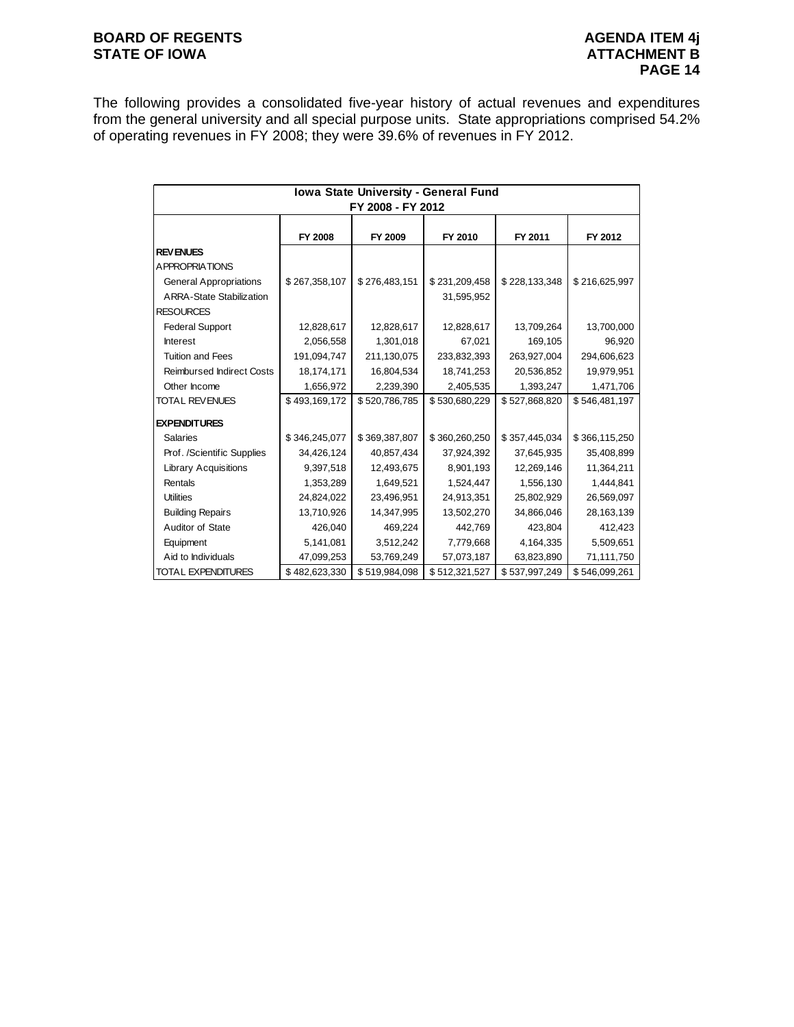# **BOARD OF REGENTS BOARD OF REGENTS** STATE OF IOWA **ATTACHMENT B**

The following provides a consolidated five-year history of actual revenues and expenditures from the general university and all special purpose units. State appropriations comprised 54.2% of operating revenues in FY 2008; they were 39.6% of revenues in FY 2012.

| Iowa State University - General Fund |               |                   |               |               |               |  |  |  |
|--------------------------------------|---------------|-------------------|---------------|---------------|---------------|--|--|--|
|                                      |               | FY 2008 - FY 2012 |               |               |               |  |  |  |
|                                      |               |                   |               |               |               |  |  |  |
|                                      | FY 2008       | FY 2009           | FY 2010       | FY 2011       | FY 2012       |  |  |  |
| <b>REV ENUES</b>                     |               |                   |               |               |               |  |  |  |
| <b>APPROPRIATIONS</b>                |               |                   |               |               |               |  |  |  |
| <b>General Appropriations</b>        | \$267,358,107 | \$276,483,151     | \$231,209,458 | \$228,133,348 | \$216,625,997 |  |  |  |
| <b>ARRA-State Stabilization</b>      |               |                   | 31,595,952    |               |               |  |  |  |
| <b>RESOURCES</b>                     |               |                   |               |               |               |  |  |  |
| <b>Federal Support</b>               | 12,828,617    | 12,828,617        | 12,828,617    | 13,709,264    | 13,700,000    |  |  |  |
| <b>Interest</b>                      | 2,056,558     | 1,301,018         | 67,021        | 169,105       | 96,920        |  |  |  |
| <b>Tuition and Fees</b>              | 191,094,747   | 211,130,075       | 233,832,393   | 263,927,004   | 294,606,623   |  |  |  |
| <b>Reimbursed Indirect Costs</b>     | 18,174,171    | 16,804,534        | 18,741,253    | 20,536,852    | 19,979,951    |  |  |  |
| Other Income                         | 1,656,972     | 2,239,390         | 2,405,535     | 1,393,247     | 1,471,706     |  |  |  |
| <b>TOTAL REVENUES</b>                | \$493,169,172 | \$520,786,785     | \$530,680,229 | \$527,868,820 | \$546,481,197 |  |  |  |
| <b>EXPENDITURES</b>                  |               |                   |               |               |               |  |  |  |
| Salaries                             | \$346,245,077 | \$369,387,807     | \$360,260,250 | \$357,445,034 | \$366,115,250 |  |  |  |
| Prof. /Scientific Supplies           | 34,426,124    | 40,857,434        | 37,924,392    | 37,645,935    | 35,408,899    |  |  |  |
| <b>Library Acquisitions</b>          | 9,397,518     | 12,493,675        | 8,901,193     | 12,269,146    | 11,364,211    |  |  |  |
| Rentals                              | 1,353,289     | 1,649,521         | 1,524,447     | 1,556,130     | 1,444,841     |  |  |  |
| <b>Utilities</b>                     | 24,824,022    | 23,496,951        | 24,913,351    | 25,802,929    | 26,569,097    |  |  |  |
| <b>Building Repairs</b>              | 13,710,926    | 14,347,995        | 13,502,270    | 34,866,046    | 28, 163, 139  |  |  |  |
| Auditor of State                     | 426,040       | 469,224           | 442,769       | 423,804       | 412,423       |  |  |  |
| Equipment                            | 5,141,081     | 3,512,242         | 7,779,668     | 4,164,335     | 5,509,651     |  |  |  |
| Aid to Individuals                   | 47,099,253    | 53,769,249        | 57,073,187    | 63,823,890    | 71,111,750    |  |  |  |
| TOTAL EXPENDITURES                   | \$482,623,330 | \$519,984,098     | \$512,321,527 | \$537,997,249 | \$546,099,261 |  |  |  |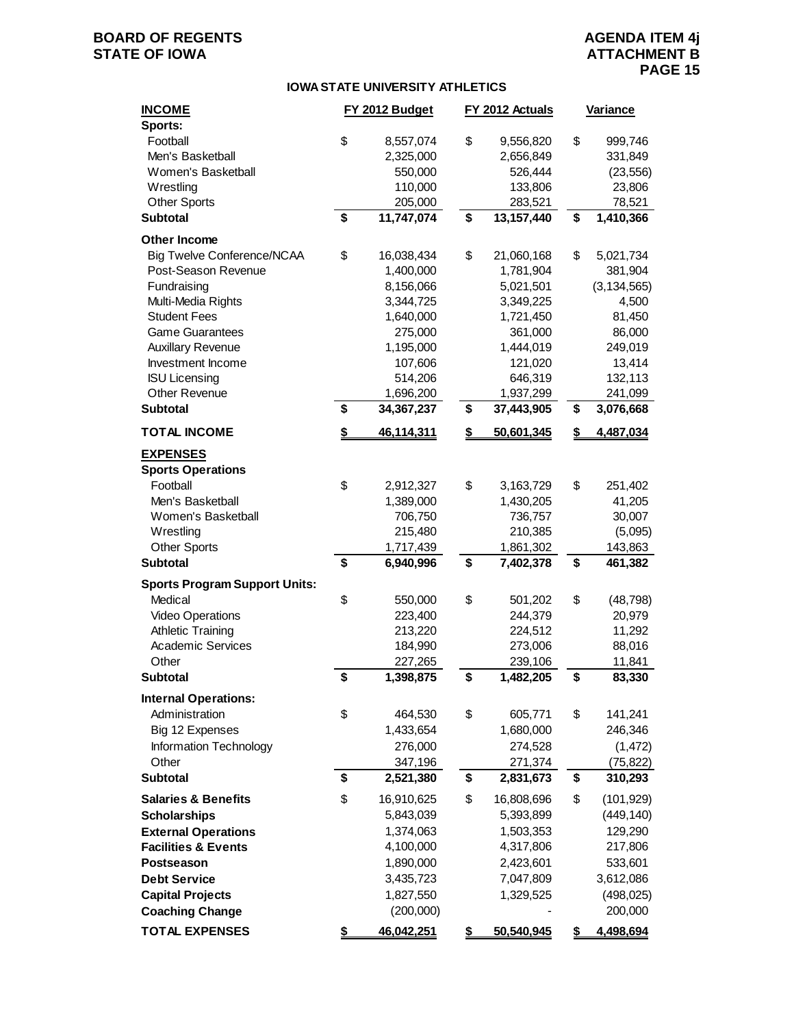# **BOARD OF REGENTS**<br> **BOARD OF REGENTS**<br> **STATE OF IOWA**<br> **ATTACHMENT B**

#### **IOWA STATE UNIVERSITY ATHLETICS**

| <b>INCOME</b><br>Sports:             | FY 2012 Budget   | FY 2012 Actuals  |    | <b>Variance</b> |
|--------------------------------------|------------------|------------------|----|-----------------|
| Football                             | \$<br>8,557,074  | \$<br>9,556,820  | \$ | 999,746         |
| Men's Basketball                     | 2,325,000        | 2,656,849        |    | 331,849         |
| Women's Basketball                   | 550,000          | 526,444          |    | (23, 556)       |
| Wrestling                            | 110,000          | 133,806          |    | 23,806          |
| <b>Other Sports</b>                  | 205,000          | 283,521          |    | 78,521          |
| <b>Subtotal</b>                      | \$<br>11,747,074 | \$<br>13,157,440 | \$ | 1,410,366       |
| Other Income                         |                  |                  |    |                 |
| <b>Big Twelve Conference/NCAA</b>    | \$<br>16,038,434 | \$<br>21,060,168 | \$ | 5,021,734       |
| Post-Season Revenue                  | 1,400,000        | 1,781,904        |    | 381,904         |
| Fundraising                          | 8,156,066        | 5,021,501        |    | (3, 134, 565)   |
| Multi-Media Rights                   | 3,344,725        | 3,349,225        |    | 4,500           |
| <b>Student Fees</b>                  | 1,640,000        | 1,721,450        |    | 81,450          |
| <b>Game Guarantees</b>               | 275,000          | 361,000          |    | 86,000          |
| <b>Auxillary Revenue</b>             | 1,195,000        | 1,444,019        |    | 249,019         |
| Investment Income                    | 107,606          | 121,020          |    | 13,414          |
| <b>ISU Licensing</b>                 | 514,206          | 646,319          |    | 132,113         |
| <b>Other Revenue</b>                 | 1,696,200        | 1,937,299        |    | 241,099         |
| <b>Subtotal</b>                      | \$<br>34,367,237 | \$<br>37,443,905 | \$ | 3,076,668       |
| <b>TOTAL INCOME</b>                  | \$<br>46,114,311 | \$<br>50,601,345 | S  | 4,487,034       |
| <b>EXPENSES</b>                      |                  |                  |    |                 |
| <b>Sports Operations</b>             |                  |                  |    |                 |
| Football                             | \$<br>2,912,327  | \$<br>3,163,729  | \$ | 251,402         |
| Men's Basketball                     | 1,389,000        | 1,430,205        |    | 41,205          |
| Women's Basketball                   | 706,750          | 736,757          |    | 30,007          |
| Wrestling                            | 215,480          | 210,385          |    | (5,095)         |
| <b>Other Sports</b>                  | 1,717,439        | 1,861,302        |    | 143,863         |
| <b>Subtotal</b>                      | \$<br>6,940,996  | \$<br>7,402,378  | \$ | 461,382         |
| <b>Sports Program Support Units:</b> |                  |                  |    |                 |
| Medical                              | \$<br>550,000    | \$<br>501,202    | \$ | (48, 798)       |
| <b>Video Operations</b>              | 223,400          | 244,379          |    | 20,979          |
| <b>Athletic Training</b>             | 213,220          | 224,512          |    | 11,292          |
| <b>Academic Services</b>             | 184,990          | 273,006          |    | 88,016          |
| Other                                | 227,265          | 239,106          |    | 11,841          |
| <b>Subtotal</b>                      | \$<br>1,398,875  | \$<br>1,482,205  | \$ | 83,330          |
| <b>Internal Operations:</b>          |                  |                  |    |                 |
| Administration                       | \$<br>464,530    | \$<br>605,771    | \$ | 141,241         |
| Big 12 Expenses                      | 1,433,654        | 1,680,000        |    | 246,346         |
| Information Technology               | 276,000          | 274,528          |    | (1, 472)        |
| Other                                | 347,196          | 271,374          |    | (75, 822)       |
| <b>Subtotal</b>                      | \$<br>2,521,380  | \$<br>2,831,673  | \$ | 310,293         |
| <b>Salaries &amp; Benefits</b>       | \$<br>16,910,625 | \$<br>16,808,696 | \$ | (101, 929)      |
| <b>Scholarships</b>                  | 5,843,039        | 5,393,899        |    | (449, 140)      |
| <b>External Operations</b>           | 1,374,063        | 1,503,353        |    | 129,290         |
| <b>Facilities &amp; Events</b>       | 4,100,000        | 4,317,806        |    | 217,806         |
| Postseason                           | 1,890,000        | 2,423,601        |    | 533,601         |
| <b>Debt Service</b>                  | 3,435,723        | 7,047,809        |    | 3,612,086       |
| <b>Capital Projects</b>              | 1,827,550        | 1,329,525        |    | (498, 025)      |
| <b>Coaching Change</b>               | (200,000)        |                  |    | 200,000         |
| <b>TOTAL EXPENSES</b>                | \$<br>46,042,251 | \$<br>50,540,945 | \$ | 4,498,694       |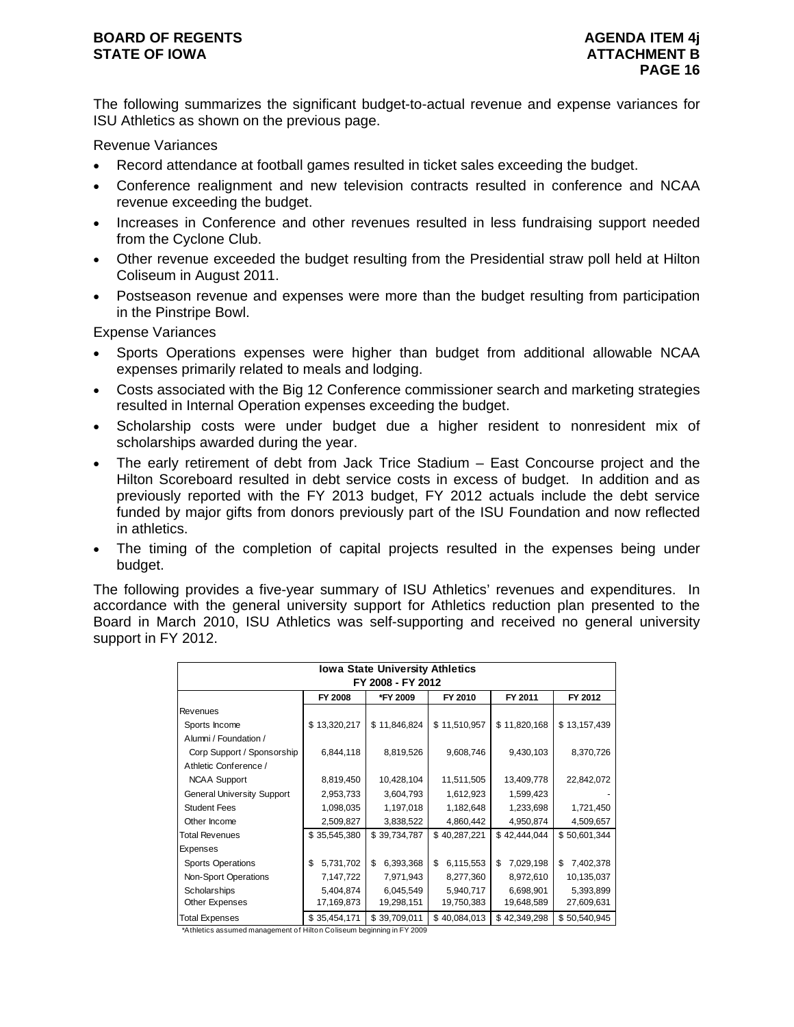The following summarizes the significant budget-to-actual revenue and expense variances for ISU Athletics as shown on the previous page.

Revenue Variances

- Record attendance at football games resulted in ticket sales exceeding the budget.
- Conference realignment and new television contracts resulted in conference and NCAA revenue exceeding the budget.
- Increases in Conference and other revenues resulted in less fundraising support needed from the Cyclone Club.
- Other revenue exceeded the budget resulting from the Presidential straw poll held at Hilton Coliseum in August 2011.
- Postseason revenue and expenses were more than the budget resulting from participation in the Pinstripe Bowl.

Expense Variances

- Sports Operations expenses were higher than budget from additional allowable NCAA expenses primarily related to meals and lodging.
- Costs associated with the Big 12 Conference commissioner search and marketing strategies resulted in Internal Operation expenses exceeding the budget.
- Scholarship costs were under budget due a higher resident to nonresident mix of scholarships awarded during the year.
- The early retirement of debt from Jack Trice Stadium East Concourse project and the Hilton Scoreboard resulted in debt service costs in excess of budget. In addition and as previously reported with the FY 2013 budget, FY 2012 actuals include the debt service funded by major gifts from donors previously part of the ISU Foundation and now reflected in athletics.
- The timing of the completion of capital projects resulted in the expenses being under budget.

The following provides a five-year summary of ISU Athletics' revenues and expenditures. In accordance with the general university support for Athletics reduction plan presented to the Board in March 2010, ISU Athletics was self-supporting and received no general university support in FY 2012.

|                                   | <b>Iowa State University Athletics</b> |                 |                 |                 |                 |  |  |  |
|-----------------------------------|----------------------------------------|-----------------|-----------------|-----------------|-----------------|--|--|--|
| FY 2008 - FY 2012                 |                                        |                 |                 |                 |                 |  |  |  |
|                                   | <b>FY 2008</b>                         | *FY 2009        | FY 2010         | FY 2011         | FY 2012         |  |  |  |
| Revenues                          |                                        |                 |                 |                 |                 |  |  |  |
| Sports Income                     | \$13,320,217                           | \$11,846,824    | \$11,510,957    | \$11,820,168    | \$13,157,439    |  |  |  |
| Alumni / Foundation /             |                                        |                 |                 |                 |                 |  |  |  |
| Corp Support / Sponsorship        | 6,844,118                              | 8,819,526       | 9,608,746       | 9,430,103       | 8,370,726       |  |  |  |
| Athletic Conference /             |                                        |                 |                 |                 |                 |  |  |  |
| <b>NCAA Support</b>               | 8,819,450                              | 10,428,104      | 11,511,505      | 13,409,778      | 22,842,072      |  |  |  |
| <b>General University Support</b> | 2,953,733                              | 3,604,793       | 1,612,923       | 1,599,423       |                 |  |  |  |
| <b>Student Fees</b>               | 1,098,035                              | 1,197,018       | 1,182,648       | 1,233,698       | 1,721,450       |  |  |  |
| Other Income                      | 2,509,827                              | 3,838,522       | 4,860,442       | 4,950,874       | 4,509,657       |  |  |  |
| <b>Total Revenues</b>             | \$35,545,380                           | \$39,734,787    | \$40,287,221    | \$42,444,044    | \$50,601,344    |  |  |  |
| Expenses                          |                                        |                 |                 |                 |                 |  |  |  |
| <b>Sports Operations</b>          | \$<br>5,731,702                        | \$<br>6,393,368 | 6,115,553<br>\$ | \$<br>7,029,198 | \$<br>7,402,378 |  |  |  |
| Non-Sport Operations              | 7,147,722                              | 7,971,943       | 8,277,360       | 8,972,610       | 10,135,037      |  |  |  |
| Scholarships                      | 5,404,874                              | 6,045,549       | 5,940,717       | 6,698,901       | 5,393,899       |  |  |  |
| Other Expenses                    | 17,169,873                             | 19,298,151      | 19,750,383      | 19,648,589      | 27,609,631      |  |  |  |
| <b>Total Expenses</b>             | \$35,454,171                           | \$39,709,011    | \$40,084,013    | \$42,349,298    | \$50,540,945    |  |  |  |

\*Athletics assumed management of Hilton Coliseum beginning in FY 2009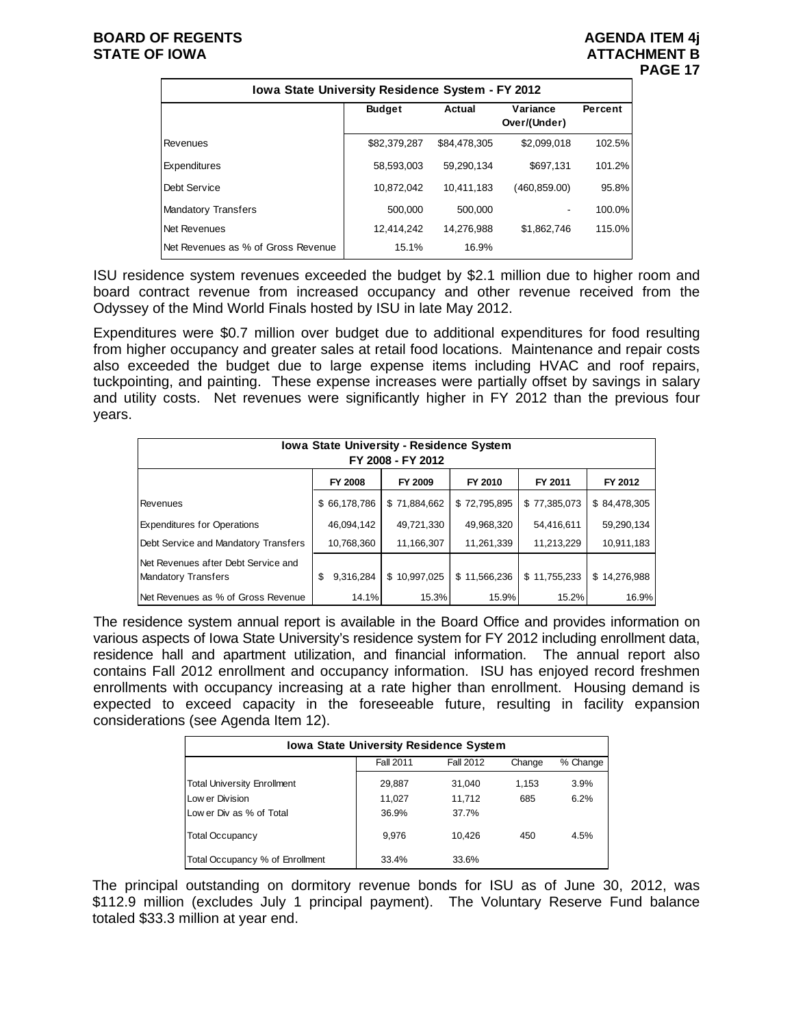#### **BOARD OF REGENTS** AGENUS AGENDA ITEM 4j **STATE OF IOWA** AND **ATTACHMENT B**

# **PAGE 17**

| Iowa State University Residence System - FY 2012 |               |              |                          |         |  |  |  |  |  |
|--------------------------------------------------|---------------|--------------|--------------------------|---------|--|--|--|--|--|
|                                                  | <b>Budget</b> | Actual       | Variance<br>Over/(Under) | Percent |  |  |  |  |  |
| Revenues                                         | \$82,379,287  | \$84.478.305 | \$2,099,018              | 102.5%  |  |  |  |  |  |
| <b>Expenditures</b>                              | 58,593,003    | 59.290.134   | \$697,131                | 101.2%  |  |  |  |  |  |
| Debt Service                                     | 10.872.042    | 10.411.183   | (460,859.00)             | 95.8%   |  |  |  |  |  |
| <b>Mandatory Transfers</b>                       | 500,000       | 500.000      | ۰                        | 100.0%  |  |  |  |  |  |
| Net Revenues                                     | 12.414.242    | 14.276.988   | \$1,862,746              | 115.0%  |  |  |  |  |  |
| Net Revenues as % of Gross Revenue               | 15.1%         | 16.9%        |                          |         |  |  |  |  |  |

ISU residence system revenues exceeded the budget by \$2.1 million due to higher room and board contract revenue from increased occupancy and other revenue received from the Odyssey of the Mind World Finals hosted by ISU in late May 2012.

Expenditures were \$0.7 million over budget due to additional expenditures for food resulting from higher occupancy and greater sales at retail food locations. Maintenance and repair costs also exceeded the budget due to large expense items including HVAC and roof repairs, tuckpointing, and painting. These expense increases were partially offset by savings in salary and utility costs. Net revenues were significantly higher in FY 2012 than the previous four years.

| <b>Iowa State University - Residence System</b><br>FY 2008 - FY 2012 |                 |              |              |              |              |  |  |  |  |
|----------------------------------------------------------------------|-----------------|--------------|--------------|--------------|--------------|--|--|--|--|
|                                                                      | <b>FY 2008</b>  | FY 2009      | FY 2010      | FY 2011      | FY 2012      |  |  |  |  |
| Revenues                                                             | \$66,178,786    | \$71,884,662 | \$72,795,895 | \$77,385,073 | \$84,478,305 |  |  |  |  |
| <b>Expenditures for Operations</b>                                   | 46,094,142      | 49.721.330   | 49,968,320   | 54,416,611   | 59,290,134   |  |  |  |  |
| Debt Service and Mandatory Transfers                                 | 10,768,360      | 11,166,307   | 11,261,339   | 11,213,229   | 10,911,183   |  |  |  |  |
| Net Revenues after Debt Service and<br><b>Mandatory Transfers</b>    | 9,316,284<br>\$ | \$10,997,025 | \$11,566,236 | \$11,755,233 | \$14,276,988 |  |  |  |  |
| Net Revenues as % of Gross Revenue                                   | 14.1%           | 15.3%        | 15.9%        | 15.2%        | 16.9%        |  |  |  |  |

The residence system annual report is available in the Board Office and provides information on various aspects of Iowa State University's residence system for FY 2012 including enrollment data, residence hall and apartment utilization, and financial information. The annual report also contains Fall 2012 enrollment and occupancy information. ISU has enjoyed record freshmen enrollments with occupancy increasing at a rate higher than enrollment. Housing demand is expected to exceed capacity in the foreseeable future, resulting in facility expansion considerations (see Agenda Item 12).

| <b>Iowa State University Residence System</b>       |        |        |       |      |  |  |  |  |
|-----------------------------------------------------|--------|--------|-------|------|--|--|--|--|
| Fall 2011<br><b>Fall 2012</b><br>% Change<br>Change |        |        |       |      |  |  |  |  |
| <b>Total University Enrollment</b>                  | 29,887 | 31,040 | 1.153 | 3.9% |  |  |  |  |
| Low er Division                                     | 11.027 | 11.712 | 685   | 6.2% |  |  |  |  |
| Low er Div as % of Total                            | 36.9%  | 37.7%  |       |      |  |  |  |  |
| <b>Total Occupancy</b>                              | 9.976  | 10.426 | 450   | 4.5% |  |  |  |  |
| Total Occupancy % of Enrollment                     | 33.4%  | 33.6%  |       |      |  |  |  |  |

The principal outstanding on dormitory revenue bonds for ISU as of June 30, 2012, was \$112.9 million (excludes July 1 principal payment). The Voluntary Reserve Fund balance totaled \$33.3 million at year end.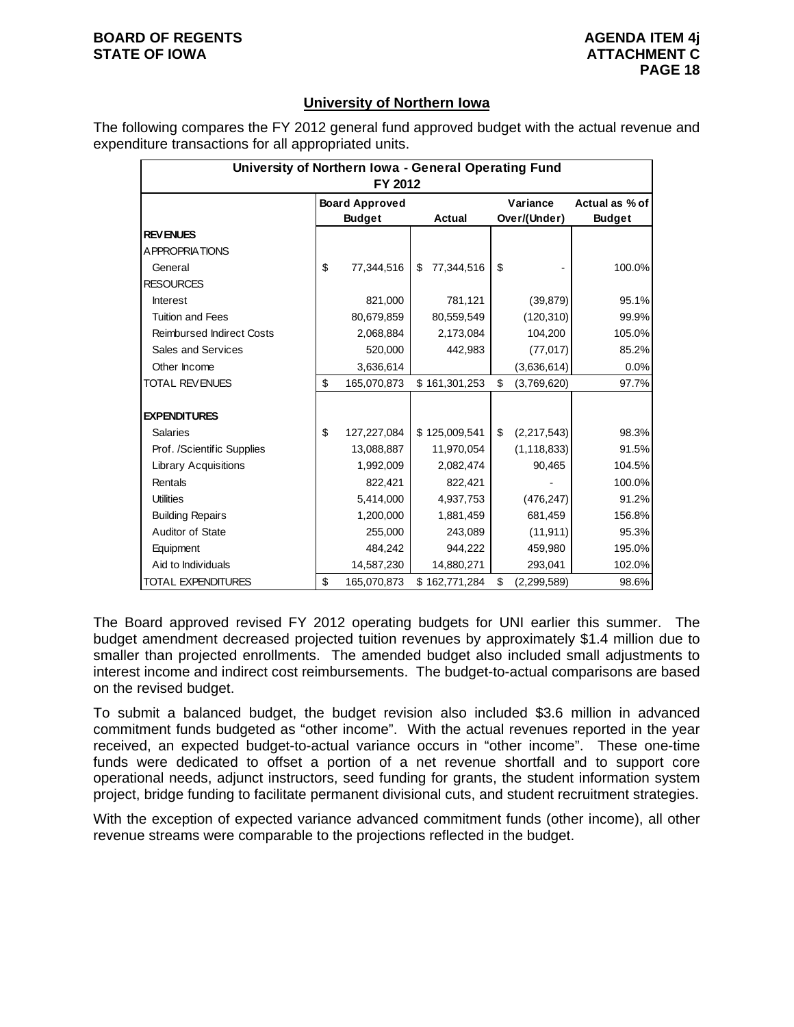# **University of Northern Iowa**

The following compares the FY 2012 general fund approved budget with the actual revenue and expenditure transactions for all appropriated units.

| University of Northern Iowa - General Operating Fund<br>FY 2012 |    |                                        |    |               |    |                          |                                 |  |  |
|-----------------------------------------------------------------|----|----------------------------------------|----|---------------|----|--------------------------|---------------------------------|--|--|
|                                                                 |    | <b>Board Approved</b><br><b>Budget</b> |    | <b>Actual</b> |    | Variance<br>Over/(Under) | Actual as % of<br><b>Budget</b> |  |  |
| <b>REVENUES</b>                                                 |    |                                        |    |               |    |                          |                                 |  |  |
| A PPROPRIATIONS                                                 |    |                                        |    |               |    |                          |                                 |  |  |
| General                                                         | \$ | 77,344,516                             | \$ | 77,344,516    | \$ |                          | 100.0%                          |  |  |
| <b>RESOURCES</b>                                                |    |                                        |    |               |    |                          |                                 |  |  |
| <b>Interest</b>                                                 |    | 821,000                                |    | 781,121       |    | (39, 879)                | 95.1%                           |  |  |
| <b>Tuition and Fees</b>                                         |    | 80,679,859                             |    | 80,559,549    |    | (120, 310)               | 99.9%                           |  |  |
| <b>Reimbursed Indirect Costs</b>                                |    | 2,068,884                              |    | 2,173,084     |    | 104,200                  | 105.0%                          |  |  |
| Sales and Services                                              |    | 520,000                                |    | 442,983       |    | (77, 017)                | 85.2%                           |  |  |
| Other Income                                                    |    | 3,636,614                              |    |               |    | (3,636,614)              | 0.0%                            |  |  |
| <b>TOTAL REVENUES</b>                                           | \$ | 165,070,873                            |    | \$161,301,253 | \$ | (3,769,620)              | 97.7%                           |  |  |
|                                                                 |    |                                        |    |               |    |                          |                                 |  |  |
| <b>EXPENDITURES</b>                                             |    |                                        |    |               |    |                          |                                 |  |  |
| <b>Salaries</b>                                                 | \$ | 127,227,084                            |    | \$125,009,541 | \$ | (2,217,543)              | 98.3%                           |  |  |
| Prof. /Scientific Supplies                                      |    | 13,088,887                             |    | 11,970,054    |    | (1, 118, 833)            | 91.5%                           |  |  |
| <b>Library Acquisitions</b>                                     |    | 1,992,009                              |    | 2,082,474     |    | 90,465                   | 104.5%                          |  |  |
| Rentals                                                         |    | 822,421                                |    | 822,421       |    |                          | 100.0%                          |  |  |
| <b>Utilities</b>                                                |    | 5,414,000                              |    | 4,937,753     |    | (476, 247)               | 91.2%                           |  |  |
| <b>Building Repairs</b>                                         |    | 1,200,000                              |    | 1,881,459     |    | 681,459                  | 156.8%                          |  |  |
| Auditor of State                                                |    | 255,000                                |    | 243,089       |    | (11, 911)                | 95.3%                           |  |  |
| Equipment                                                       |    | 484,242                                |    | 944,222       |    | 459,980                  | 195.0%                          |  |  |
| Aid to Individuals                                              |    | 14,587,230                             |    | 14,880,271    |    | 293,041                  | 102.0%                          |  |  |
| <b>TOTAL EXPENDITURES</b>                                       | \$ | 165,070,873                            |    | \$162,771,284 | \$ | (2, 299, 589)            | 98.6%                           |  |  |

The Board approved revised FY 2012 operating budgets for UNI earlier this summer. The budget amendment decreased projected tuition revenues by approximately \$1.4 million due to smaller than projected enrollments. The amended budget also included small adjustments to interest income and indirect cost reimbursements. The budget-to-actual comparisons are based on the revised budget.

To submit a balanced budget, the budget revision also included \$3.6 million in advanced commitment funds budgeted as "other income". With the actual revenues reported in the year received, an expected budget-to-actual variance occurs in "other income". These one-time funds were dedicated to offset a portion of a net revenue shortfall and to support core operational needs, adjunct instructors, seed funding for grants, the student information system project, bridge funding to facilitate permanent divisional cuts, and student recruitment strategies.

With the exception of expected variance advanced commitment funds (other income), all other revenue streams were comparable to the projections reflected in the budget.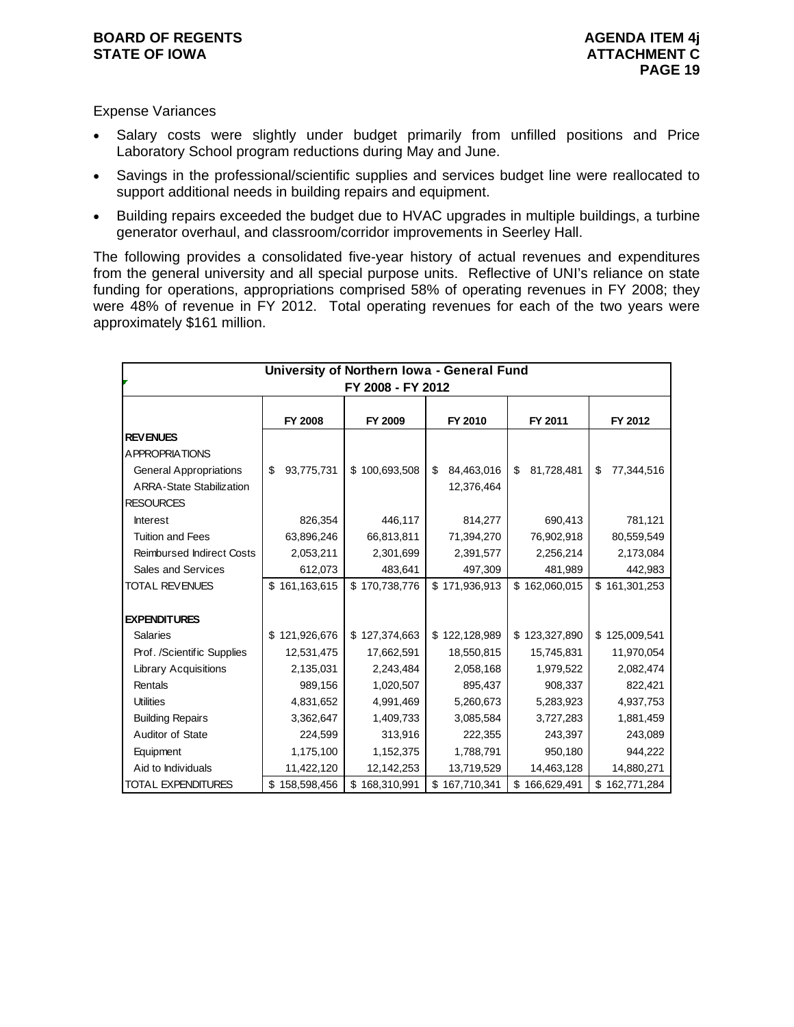#### **BOARD OF REGENTS** AGENUS AGENDA ITEM 4j **STATE OF IOWA ATTACHMENT C**

# Expense Variances

- Salary costs were slightly under budget primarily from unfilled positions and Price Laboratory School program reductions during May and June.
- Savings in the professional/scientific supplies and services budget line were reallocated to support additional needs in building repairs and equipment.
- Building repairs exceeded the budget due to HVAC upgrades in multiple buildings, a turbine generator overhaul, and classroom/corridor improvements in Seerley Hall.

The following provides a consolidated five-year history of actual revenues and expenditures from the general university and all special purpose units. Reflective of UNI's reliance on state funding for operations, appropriations comprised 58% of operating revenues in FY 2008; they were 48% of revenue in FY 2012. Total operating revenues for each of the two years were approximately \$161 million.

| University of Northern Iowa - General Fund<br>FY 2008 - FY 2012 |                  |               |                  |                  |                  |  |  |  |
|-----------------------------------------------------------------|------------------|---------------|------------------|------------------|------------------|--|--|--|
|                                                                 | FY 2008          | FY 2009       | FY 2010          | FY 2011          | FY 2012          |  |  |  |
| <b>REVENUES</b>                                                 |                  |               |                  |                  |                  |  |  |  |
| A PPROPRIATIONS                                                 |                  |               |                  |                  |                  |  |  |  |
| <b>General Appropriations</b>                                   | \$<br>93,775,731 | \$100,693,508 | \$<br>84,463,016 | \$<br>81,728,481 | \$<br>77,344,516 |  |  |  |
| <b>ARRA-State Stabilization</b>                                 |                  |               | 12,376,464       |                  |                  |  |  |  |
| <b>RESOURCES</b>                                                |                  |               |                  |                  |                  |  |  |  |
| <b>Interest</b>                                                 | 826,354          | 446,117       | 814,277          | 690,413          | 781,121          |  |  |  |
| <b>Tuition and Fees</b>                                         | 63,896,246       | 66,813,811    | 71,394,270       | 76,902,918       | 80,559,549       |  |  |  |
| <b>Reimbursed Indirect Costs</b>                                | 2,053,211        | 2,301,699     | 2,391,577        | 2,256,214        | 2,173,084        |  |  |  |
| Sales and Services                                              | 612,073          | 483,641       | 497,309          | 481,989          | 442,983          |  |  |  |
| TOTAL REVENUES                                                  | \$161,163,615    | \$170,738,776 | \$171,936,913    | \$162,060,015    | \$161,301,253    |  |  |  |
|                                                                 |                  |               |                  |                  |                  |  |  |  |
| <b>EXPENDITURES</b>                                             |                  |               |                  |                  |                  |  |  |  |
| <b>Salaries</b>                                                 | \$121,926,676    | \$127,374,663 | \$122,128,989    | \$123,327,890    | \$125,009,541    |  |  |  |
| Prof. /Scientific Supplies                                      | 12,531,475       | 17,662,591    | 18,550,815       | 15,745,831       | 11,970,054       |  |  |  |
| <b>Library Acquisitions</b>                                     | 2,135,031        | 2,243,484     | 2,058,168        | 1,979,522        | 2,082,474        |  |  |  |
| Rentals                                                         | 989,156          | 1,020,507     | 895,437          | 908,337          | 822,421          |  |  |  |
| <b>Utilities</b>                                                | 4,831,652        | 4,991,469     | 5,260,673        | 5,283,923        | 4,937,753        |  |  |  |
| <b>Building Repairs</b>                                         | 3,362,647        | 1,409,733     | 3,085,584        | 3,727,283        | 1,881,459        |  |  |  |
| Auditor of State                                                | 224,599          | 313,916       | 222,355          | 243,397          | 243,089          |  |  |  |
| Equipment                                                       | 1,175,100        | 1,152,375     | 1,788,791        | 950,180          | 944,222          |  |  |  |
| Aid to Individuals                                              | 11,422,120       | 12,142,253    | 13,719,529       | 14,463,128       | 14,880,271       |  |  |  |
| <b>TOTAL EXPENDITURES</b>                                       | \$158,598,456    | 168,310,991   | \$167,710,341    | \$166,629,491    | \$162,771,284    |  |  |  |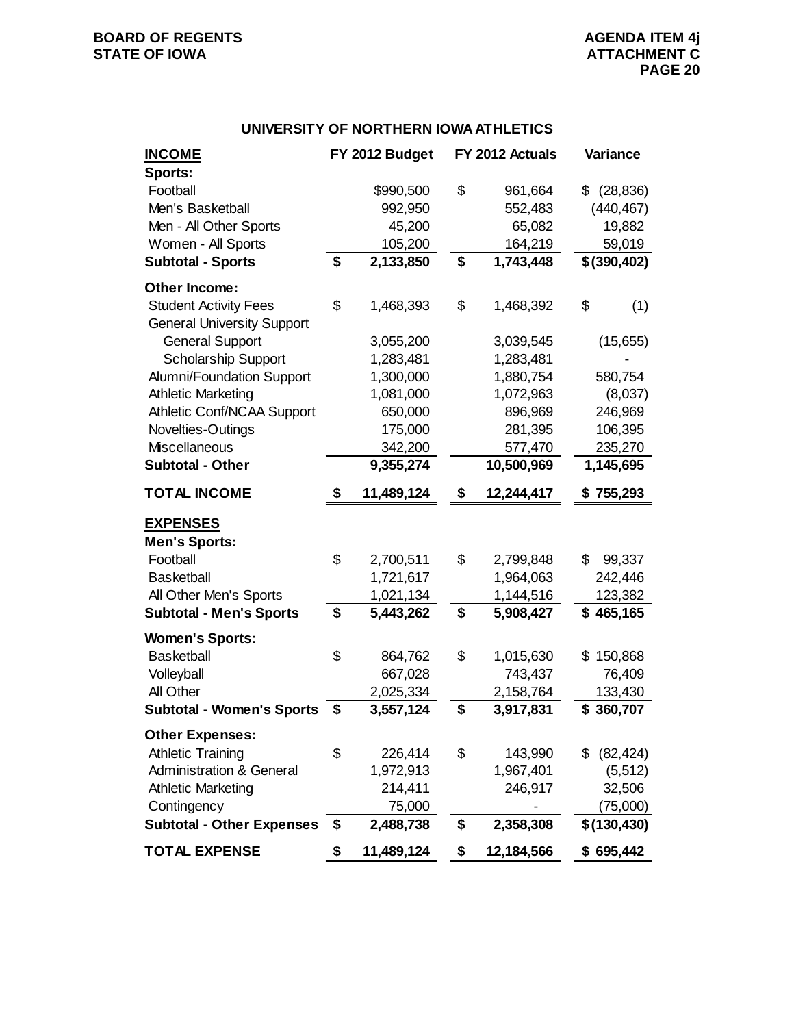# **BOARD OF REGENTS**<br> **BOARD OF REGENTS**<br> **BOARD OF IOWA**<br> **ATTACHMENT C**

# **UNIVERSITY OF NORTHERN IOWA ATHLETICS**

| <b>INCOME</b>                       | FY 2012 Budget   | FY 2012 Actuals  |    | Variance     |
|-------------------------------------|------------------|------------------|----|--------------|
| Sports:                             |                  |                  |    |              |
| Football                            | \$990,500        | \$<br>961,664    | \$ | (28, 836)    |
| Men's Basketball                    | 992,950          | 552,483          |    | (440, 467)   |
| Men - All Other Sports              | 45,200           | 65,082           |    | 19,882       |
| Women - All Sports                  | 105,200          | 164,219          |    | 59,019       |
| <b>Subtotal - Sports</b>            | \$<br>2,133,850  | \$<br>1,743,448  |    | \$(390, 402) |
| Other Income:                       |                  |                  |    |              |
| <b>Student Activity Fees</b>        | \$<br>1,468,393  | \$<br>1,468,392  | \$ | (1)          |
| <b>General University Support</b>   |                  |                  |    |              |
| <b>General Support</b>              | 3,055,200        | 3,039,545        |    | (15,655)     |
| <b>Scholarship Support</b>          | 1,283,481        | 1,283,481        |    |              |
| Alumni/Foundation Support           | 1,300,000        | 1,880,754        |    | 580,754      |
| <b>Athletic Marketing</b>           | 1,081,000        | 1,072,963        |    | (8,037)      |
| Athletic Conf/NCAA Support          | 650,000          | 896,969          |    | 246,969      |
| Novelties-Outings                   | 175,000          | 281,395          |    | 106,395      |
| <b>Miscellaneous</b>                | 342,200          | 577,470          |    | 235,270      |
| <b>Subtotal - Other</b>             | 9,355,274        | 10,500,969       |    | 1,145,695    |
| <b>TOTAL INCOME</b>                 | \$<br>11,489,124 | \$<br>12,244,417 | S  | 755,293      |
| <b>EXPENSES</b>                     |                  |                  |    |              |
| <b>Men's Sports:</b>                |                  |                  |    |              |
| Football                            | \$<br>2,700,511  | \$<br>2,799,848  | \$ | 99,337       |
| <b>Basketball</b>                   | 1,721,617        | 1,964,063        |    | 242,446      |
| All Other Men's Sports              | 1,021,134        | 1,144,516        |    | 123,382      |
| <b>Subtotal - Men's Sports</b>      | \$<br>5,443,262  | \$<br>5,908,427  |    | \$465,165    |
| <b>Women's Sports:</b>              |                  |                  |    |              |
| <b>Basketball</b>                   | \$<br>864,762    | \$<br>1,015,630  |    | \$150,868    |
| Volleyball                          | 667,028          | 743,437          |    | 76,409       |
| All Other                           | 2,025,334        | 2,158,764        |    | 133,430      |
| <b>Subtotal - Women's Sports</b>    | \$<br>3,557,124  | \$<br>3,917,831  |    | \$360,707    |
| <b>Other Expenses:</b>              |                  |                  |    |              |
| <b>Athletic Training</b>            | \$<br>226,414    | \$<br>143,990    | S  | (82, 424)    |
| <b>Administration &amp; General</b> | 1,972,913        | 1,967,401        |    | (5, 512)     |
| <b>Athletic Marketing</b>           | 214,411          | 246,917          |    | 32,506       |
| Contingency                         | 75,000           |                  |    | (75,000)     |
| <b>Subtotal - Other Expenses</b>    | \$<br>2,488,738  | \$<br>2,358,308  |    | \$(130, 430) |
| <b>TOTAL EXPENSE</b>                | \$<br>11,489,124 | \$<br>12,184,566 |    | \$695,442    |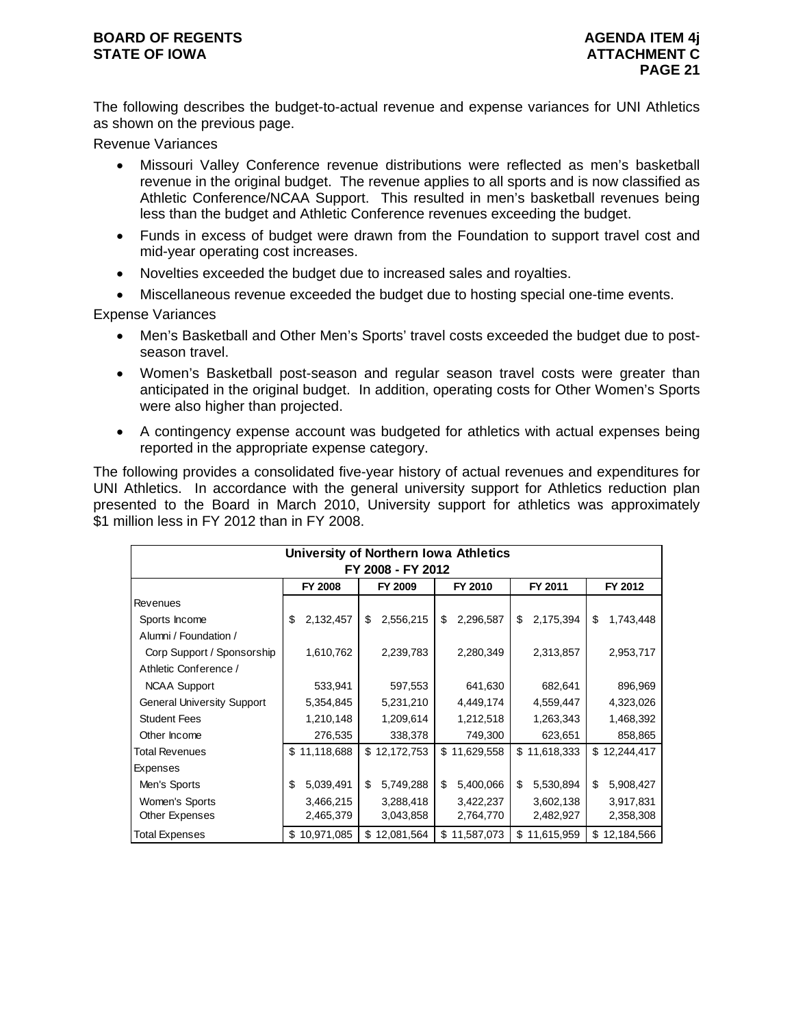The following describes the budget-to-actual revenue and expense variances for UNI Athletics as shown on the previous page.

Revenue Variances

- Missouri Valley Conference revenue distributions were reflected as men's basketball revenue in the original budget. The revenue applies to all sports and is now classified as Athletic Conference/NCAA Support. This resulted in men's basketball revenues being less than the budget and Athletic Conference revenues exceeding the budget.
- Funds in excess of budget were drawn from the Foundation to support travel cost and mid-year operating cost increases.
- Novelties exceeded the budget due to increased sales and royalties.
- Miscellaneous revenue exceeded the budget due to hosting special one-time events.

Expense Variances

- Men's Basketball and Other Men's Sports' travel costs exceeded the budget due to postseason travel.
- Women's Basketball post-season and regular season travel costs were greater than anticipated in the original budget. In addition, operating costs for Other Women's Sports were also higher than projected.
- A contingency expense account was budgeted for athletics with actual expenses being reported in the appropriate expense category.

The following provides a consolidated five-year history of actual revenues and expenditures for UNI Athletics. In accordance with the general university support for Athletics reduction plan presented to the Board in March 2010, University support for athletics was approximately \$1 million less in FY 2012 than in FY 2008.

| University of Northern Iowa Athletics<br>FY 2008 - FY 2012 |    |              |    |              |    |              |    |              |    |              |  |  |
|------------------------------------------------------------|----|--------------|----|--------------|----|--------------|----|--------------|----|--------------|--|--|
| <b>FY 2008</b><br>FY 2009<br>FY 2010<br>FY 2011<br>FY 2012 |    |              |    |              |    |              |    |              |    |              |  |  |
| Revenues                                                   |    |              |    |              |    |              |    |              |    |              |  |  |
| Sports Income                                              | \$ | 2,132,457    | \$ | 2,556,215    | \$ | 2,296,587    | \$ | 2,175,394    | \$ | 1,743,448    |  |  |
| Alumni / Foundation /                                      |    |              |    |              |    |              |    |              |    |              |  |  |
| Corp Support / Sponsorship                                 |    | 1,610,762    |    | 2,239,783    |    | 2,280,349    |    | 2,313,857    |    | 2,953,717    |  |  |
| Athletic Conference /                                      |    |              |    |              |    |              |    |              |    |              |  |  |
| <b>NCAA Support</b>                                        |    | 533,941      |    | 597,553      |    | 641,630      |    | 682,641      |    | 896,969      |  |  |
| <b>General University Support</b>                          |    | 5,354,845    |    | 5,231,210    |    | 4,449,174    |    | 4,559,447    |    | 4,323,026    |  |  |
| <b>Student Fees</b>                                        |    | 1,210,148    |    | 1,209,614    |    | 1,212,518    |    | 1,263,343    |    | 1,468,392    |  |  |
| Other Income                                               |    | 276,535      |    | 338,378      |    | 749,300      |    | 623,651      |    | 858,865      |  |  |
| <b>Total Revenues</b>                                      |    | \$11,118,688 |    | \$12,172,753 |    | \$11,629,558 |    | \$11,618,333 |    | \$12,244,417 |  |  |
| Expenses                                                   |    |              |    |              |    |              |    |              |    |              |  |  |
| Men's Sports                                               | \$ | 5,039,491    | \$ | 5,749,288    | \$ | 5,400,066    | \$ | 5,530,894    | \$ | 5,908,427    |  |  |
| Women's Sports                                             |    | 3,466,215    |    | 3,288,418    |    | 3,422,237    |    | 3,602,138    |    | 3,917,831    |  |  |
| Other Expenses                                             |    | 2,465,379    |    | 3,043,858    |    | 2,764,770    |    | 2,482,927    |    | 2,358,308    |  |  |
| <b>Total Expenses</b>                                      | \$ | 10,971,085   | \$ | 12,081,564   |    | \$11,587,073 | \$ | 11,615,959   | \$ | 12,184,566   |  |  |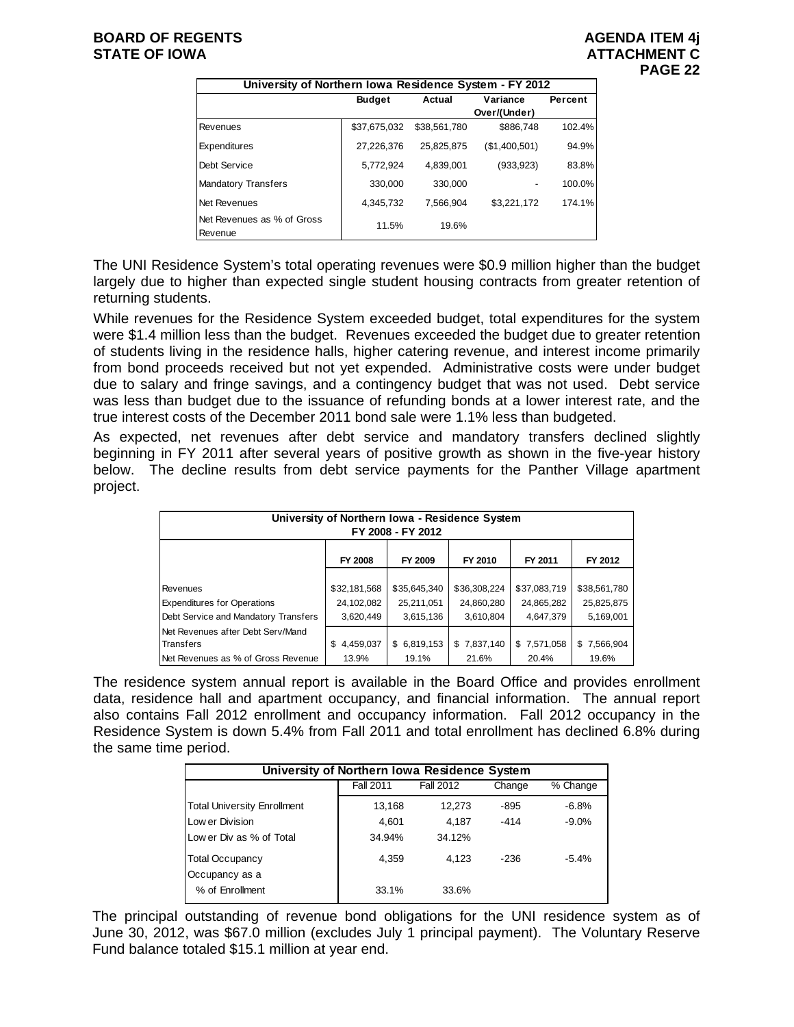| University of Northern Iowa Residence System - FY 2012 |               |              |               |         |  |  |  |  |  |  |
|--------------------------------------------------------|---------------|--------------|---------------|---------|--|--|--|--|--|--|
|                                                        | <b>Budget</b> | Actual       | Variance      | Percent |  |  |  |  |  |  |
|                                                        |               |              | Over/(Under)  |         |  |  |  |  |  |  |
| Revenues                                               | \$37.675.032  | \$38,561,780 | \$886,748     | 102.4%  |  |  |  |  |  |  |
| Expenditures                                           | 27,226,376    | 25,825,875   | (\$1,400,501) | 94.9%   |  |  |  |  |  |  |
| Debt Service                                           | 5,772,924     | 4,839,001    | (933,923)     | 83.8%   |  |  |  |  |  |  |
| <b>Mandatory Transfers</b>                             | 330.000       | 330,000      |               | 100.0%  |  |  |  |  |  |  |
| Net Revenues                                           | 4,345,732     | 7.566.904    | \$3,221,172   | 174.1%  |  |  |  |  |  |  |
| Net Revenues as % of Gross<br>Revenue                  | 11.5%         | 19.6%        |               |         |  |  |  |  |  |  |

The UNI Residence System's total operating revenues were \$0.9 million higher than the budget largely due to higher than expected single student housing contracts from greater retention of returning students.

While revenues for the Residence System exceeded budget, total expenditures for the system were \$1.4 million less than the budget. Revenues exceeded the budget due to greater retention of students living in the residence halls, higher catering revenue, and interest income primarily from bond proceeds received but not yet expended. Administrative costs were under budget due to salary and fringe savings, and a contingency budget that was not used. Debt service was less than budget due to the issuance of refunding bonds at a lower interest rate, and the true interest costs of the December 2011 bond sale were 1.1% less than budgeted.

As expected, net revenues after debt service and mandatory transfers declined slightly beginning in FY 2011 after several years of positive growth as shown in the five-year history below. The decline results from debt service payments for the Panther Village apartment project.

| University of Northern Iowa - Residence System<br>FY 2008 - FY 2012 |                |              |              |              |              |  |  |  |  |  |
|---------------------------------------------------------------------|----------------|--------------|--------------|--------------|--------------|--|--|--|--|--|
|                                                                     | <b>FY 2008</b> | FY 2009      | FY 2010      | FY 2011      | FY 2012      |  |  |  |  |  |
|                                                                     |                |              |              |              |              |  |  |  |  |  |
| Revenues                                                            | \$32,181,568   | \$35,645,340 | \$36,308,224 | \$37,083,719 | \$38,561,780 |  |  |  |  |  |
| <b>Expenditures for Operations</b>                                  | 24,102,082     | 25,211,051   | 24,860,280   | 24,865,282   | 25,825,875   |  |  |  |  |  |
| Debt Service and Mandatory Transfers                                | 3,620,449      | 3,615,136    | 3,610,804    | 4,647,379    | 5,169,001    |  |  |  |  |  |
| Net Revenues after Debt Serv/Mand                                   |                |              |              |              |              |  |  |  |  |  |
| Transfers                                                           | 4,459,037<br>S | \$6,819,153  | \$7,837,140  | \$7,571,058  | \$7,566,904  |  |  |  |  |  |
| Net Revenues as % of Gross Revenue                                  | 13.9%          | 19.1%        | 21.6%        | 20.4%        | 19.6%        |  |  |  |  |  |

The residence system annual report is available in the Board Office and provides enrollment data, residence hall and apartment occupancy, and financial information. The annual report also contains Fall 2012 enrollment and occupancy information. Fall 2012 occupancy in the Residence System is down 5.4% from Fall 2011 and total enrollment has declined 6.8% during the same time period.

| University of Northern Iowa Residence System |                  |           |        |          |  |  |  |  |  |  |
|----------------------------------------------|------------------|-----------|--------|----------|--|--|--|--|--|--|
|                                              | <b>Fall 2011</b> | Fall 2012 | Change | % Change |  |  |  |  |  |  |
| <b>Total University Enrollment</b>           | 13,168           | 12.273    | -895   | $-6.8%$  |  |  |  |  |  |  |
| Low er Division                              | 4.601            | 4.187     | $-414$ | $-9.0\%$ |  |  |  |  |  |  |
| Low er Div as % of Total                     | 34.94%           | 34.12%    |        |          |  |  |  |  |  |  |
| <b>Total Occupancy</b>                       | 4.359            | 4.123     | $-236$ | $-5.4%$  |  |  |  |  |  |  |
| Occupancy as a                               |                  |           |        |          |  |  |  |  |  |  |
| % of Enrollment                              | 33.1%            | 33.6%     |        |          |  |  |  |  |  |  |

The principal outstanding of revenue bond obligations for the UNI residence system as of June 30, 2012, was \$67.0 million (excludes July 1 principal payment). The Voluntary Reserve Fund balance totaled \$15.1 million at year end.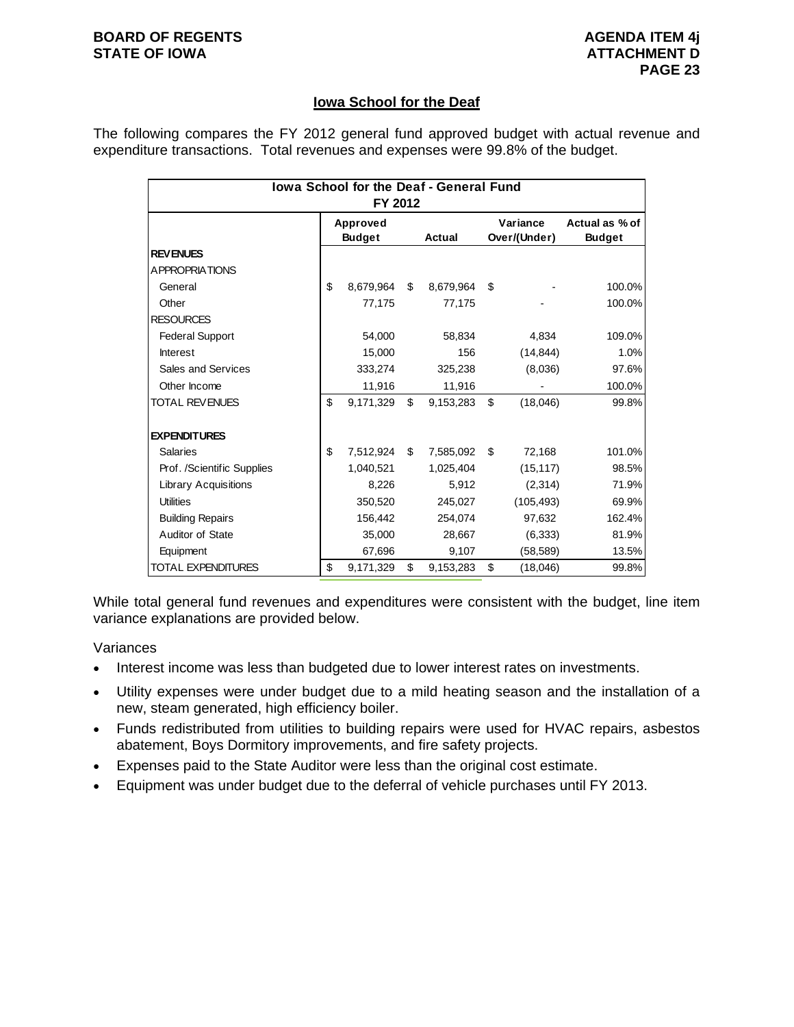# **Iowa School for the Deaf**

The following compares the FY 2012 general fund approved budget with actual revenue and expenditure transactions. Total revenues and expenses were 99.8% of the budget.

| <b>Iowa School for the Deaf - General Fund</b><br>FY 2012 |    |                           |    |           |                          |            |                                 |  |  |
|-----------------------------------------------------------|----|---------------------------|----|-----------|--------------------------|------------|---------------------------------|--|--|
|                                                           |    | Approved<br><b>Budget</b> |    | Actual    | Variance<br>Over/(Under) |            | Actual as % of<br><b>Budget</b> |  |  |
| <b>REVENUES</b>                                           |    |                           |    |           |                          |            |                                 |  |  |
| A PPROPRIATIONS                                           |    |                           |    |           |                          |            |                                 |  |  |
| General                                                   | \$ | 8,679,964                 | \$ | 8,679,964 | \$                       |            | 100.0%                          |  |  |
| Other                                                     |    | 77,175                    |    | 77,175    |                          |            | 100.0%                          |  |  |
| <b>RESOURCES</b>                                          |    |                           |    |           |                          |            |                                 |  |  |
| <b>Federal Support</b>                                    |    | 54,000                    |    | 58,834    |                          | 4,834      | 109.0%                          |  |  |
| <b>Interest</b>                                           |    | 15,000                    |    | 156       |                          | (14, 844)  | 1.0%                            |  |  |
| Sales and Services                                        |    | 333,274                   |    | 325,238   |                          | (8,036)    | 97.6%                           |  |  |
| Other Income                                              |    | 11,916                    |    | 11,916    |                          |            | 100.0%                          |  |  |
| <b>TOTAL REVENUES</b>                                     | \$ | 9,171,329                 | \$ | 9,153,283 | \$                       | (18,046)   | 99.8%                           |  |  |
| <b>EXPENDITURES</b>                                       |    |                           |    |           |                          |            |                                 |  |  |
| <b>Salaries</b>                                           | \$ | 7,512,924                 | \$ | 7,585,092 | \$                       | 72,168     | 101.0%                          |  |  |
| Prof. /Scientific Supplies                                |    | 1,040,521                 |    | 1,025,404 |                          | (15, 117)  | 98.5%                           |  |  |
| <b>Library Acquisitions</b>                               |    | 8,226                     |    | 5,912     |                          | (2,314)    | 71.9%                           |  |  |
| <b>Utilities</b>                                          |    | 350,520                   |    | 245,027   |                          | (105, 493) | 69.9%                           |  |  |
| <b>Building Repairs</b>                                   |    | 156,442                   |    | 254,074   |                          | 97,632     | 162.4%                          |  |  |
| Auditor of State                                          |    | 35,000                    |    | 28,667    |                          | (6, 333)   | 81.9%                           |  |  |
| Equipment                                                 |    | 67,696                    |    | 9,107     |                          | (58, 589)  | 13.5%                           |  |  |
| TOTAL EXPENDITURES                                        | \$ | 9,171,329                 | \$ | 9,153,283 | \$                       | (18,046)   | 99.8%                           |  |  |

While total general fund revenues and expenditures were consistent with the budget, line item variance explanations are provided below.

#### Variances

- Interest income was less than budgeted due to lower interest rates on investments.
- Utility expenses were under budget due to a mild heating season and the installation of a new, steam generated, high efficiency boiler.
- Funds redistributed from utilities to building repairs were used for HVAC repairs, asbestos abatement, Boys Dormitory improvements, and fire safety projects.
- Expenses paid to the State Auditor were less than the original cost estimate.
- Equipment was under budget due to the deferral of vehicle purchases until FY 2013.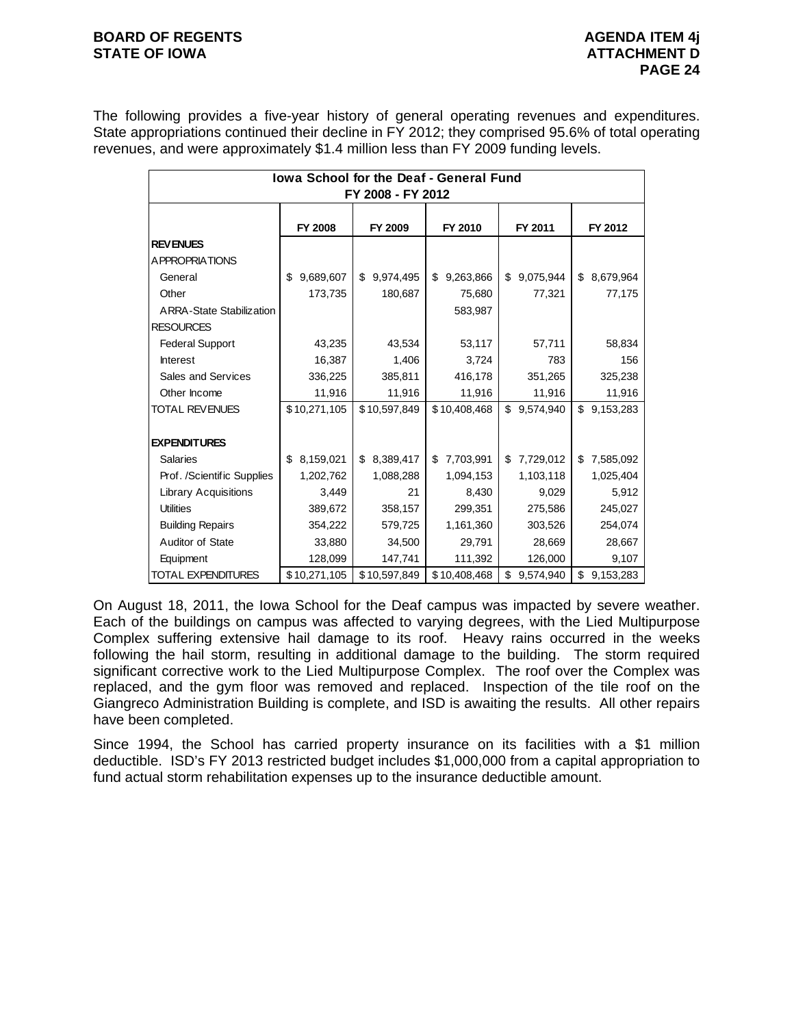#### **BOARD OF REGENTS AGENUS AGENDA ITEM 4j STATE OF IOWA ATTACHMENT D**

The following provides a five-year history of general operating revenues and expenditures. State appropriations continued their decline in FY 2012; they comprised 95.6% of total operating revenues, and were approximately \$1.4 million less than FY 2009 funding levels.

| lowa School for the Deaf - General Fund<br>FY 2008 - FY 2012 |                 |                 |                 |                 |                 |  |  |  |  |  |
|--------------------------------------------------------------|-----------------|-----------------|-----------------|-----------------|-----------------|--|--|--|--|--|
|                                                              | FY 2008         | FY 2011         | FY 2012         |                 |                 |  |  |  |  |  |
| <b>REVENUES</b>                                              |                 |                 |                 |                 |                 |  |  |  |  |  |
| A PPROPRIATIONS                                              |                 |                 |                 |                 |                 |  |  |  |  |  |
| General                                                      | 9,689,607<br>\$ | 9,974,495<br>\$ | 9,263,866<br>\$ | 9,075,944<br>\$ | \$<br>8,679,964 |  |  |  |  |  |
| Other                                                        | 173,735         | 180,687         | 75,680          | 77,321          | 77,175          |  |  |  |  |  |
| ARRA-State Stabilization                                     |                 |                 | 583,987         |                 |                 |  |  |  |  |  |
| <b>RESOURCES</b>                                             |                 |                 |                 |                 |                 |  |  |  |  |  |
| <b>Federal Support</b>                                       | 43,235          | 43,534          | 53,117          | 57,711          | 58,834          |  |  |  |  |  |
| <b>Interest</b>                                              | 16,387          | 1,406           | 3,724           | 783             | 156             |  |  |  |  |  |
| Sales and Services                                           | 336,225         | 385,811         | 416,178         | 351,265         | 325,238         |  |  |  |  |  |
| Other Income                                                 | 11,916          | 11,916          | 11,916          | 11,916          | 11,916          |  |  |  |  |  |
| <b>TOTAL REVENUES</b>                                        | \$10,271,105    | \$10,597,849    | \$10,408,468    | \$<br>9,574,940 | 9,153,283<br>\$ |  |  |  |  |  |
|                                                              |                 |                 |                 |                 |                 |  |  |  |  |  |
| <b>EXPENDITURES</b>                                          |                 |                 |                 |                 |                 |  |  |  |  |  |
| <b>Salaries</b>                                              | 8,159,021<br>\$ | 8,389,417<br>\$ | 7,703,991<br>\$ | 7,729,012<br>\$ | 7,585,092<br>\$ |  |  |  |  |  |
| Prof. /Scientific Supplies                                   | 1,202,762       | 1,088,288       | 1,094,153       | 1,103,118       | 1,025,404       |  |  |  |  |  |
| <b>Library Acquisitions</b>                                  | 3,449           | 21              | 8,430           | 9,029           | 5,912           |  |  |  |  |  |
| <b>Utilities</b>                                             | 389,672         | 358,157         | 299,351         | 275,586         | 245,027         |  |  |  |  |  |
| <b>Building Repairs</b>                                      | 354,222         | 579,725         | 1,161,360       | 303,526         | 254,074         |  |  |  |  |  |
| Auditor of State                                             | 33,880          | 34,500          | 29,791          | 28,669          | 28,667          |  |  |  |  |  |
| Equipment                                                    | 128,099         | 147,741         | 111,392         | 126,000         | 9,107           |  |  |  |  |  |
| <b>TOTAL EXPENDITURES</b>                                    | \$10,271,105    | \$10,597,849    | \$10,408,468    | 9,574,940<br>\$ | \$<br>9,153,283 |  |  |  |  |  |

On August 18, 2011, the Iowa School for the Deaf campus was impacted by severe weather. Each of the buildings on campus was affected to varying degrees, with the Lied Multipurpose Complex suffering extensive hail damage to its roof. Heavy rains occurred in the weeks following the hail storm, resulting in additional damage to the building. The storm required significant corrective work to the Lied Multipurpose Complex. The roof over the Complex was replaced, and the gym floor was removed and replaced. Inspection of the tile roof on the Giangreco Administration Building is complete, and ISD is awaiting the results. All other repairs have been completed.

Since 1994, the School has carried property insurance on its facilities with a \$1 million deductible. ISD's FY 2013 restricted budget includes \$1,000,000 from a capital appropriation to fund actual storm rehabilitation expenses up to the insurance deductible amount.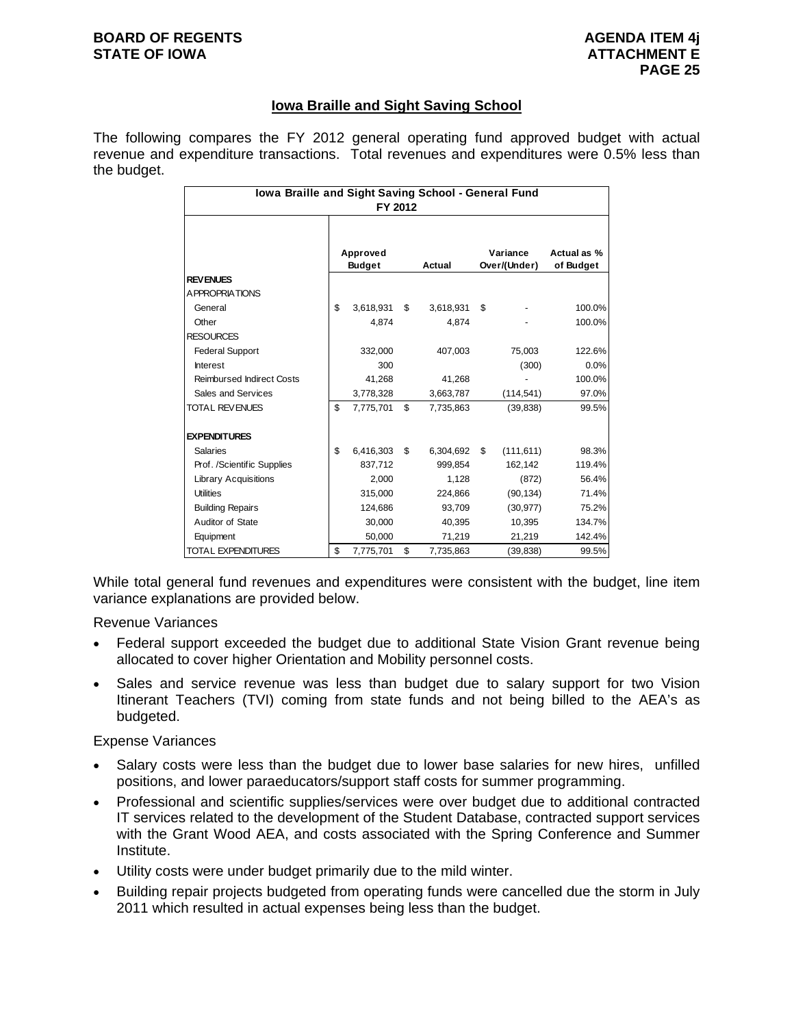#### **BOARD OF REGENTS** AGENUS AGENDA ITEM 4j **STATE OF IOWA ATTACHMENT E**

# **Iowa Braille and Sight Saving School**

The following compares the FY 2012 general operating fund approved budget with actual revenue and expenditure transactions. Total revenues and expenditures were 0.5% less than the budget.

| <b>Iowa Braille and Sight Saving School - General Fund</b><br>FY 2012 |    |                           |    |           |    |                          |                          |  |  |
|-----------------------------------------------------------------------|----|---------------------------|----|-----------|----|--------------------------|--------------------------|--|--|
|                                                                       |    | Approved<br><b>Budget</b> |    | Actual    |    | Variance<br>Over/(Under) | Actual as %<br>of Budget |  |  |
| <b>REVENUES</b>                                                       |    |                           |    |           |    |                          |                          |  |  |
| A PPROPRIATIONS                                                       |    |                           |    |           |    |                          |                          |  |  |
| General                                                               | \$ | 3,618,931                 | \$ | 3,618,931 | \$ |                          | 100.0%                   |  |  |
| Other                                                                 |    | 4.874                     |    | 4,874     |    |                          | 100.0%                   |  |  |
| <b>RESOURCES</b>                                                      |    |                           |    |           |    |                          |                          |  |  |
| <b>Federal Support</b>                                                |    | 332,000                   |    | 407.003   |    | 75,003                   | 122.6%                   |  |  |
| <b>Interest</b>                                                       |    | 300                       |    |           |    | (300)                    | 0.0%                     |  |  |
| <b>Reimbursed Indirect Costs</b>                                      |    | 41.268                    |    | 41.268    |    |                          | 100.0%                   |  |  |
| Sales and Services                                                    |    | 3,778,328                 |    | 3,663,787 |    | (114, 541)               | 97.0%                    |  |  |
| <b>TOTAL REVENUES</b>                                                 | \$ | 7,775,701                 | \$ | 7,735,863 |    | (39, 838)                | 99.5%                    |  |  |
| <b>EXPENDITURES</b>                                                   |    |                           |    |           |    |                          |                          |  |  |
| <b>Salaries</b>                                                       | \$ | 6,416,303                 | \$ | 6,304,692 | \$ | (111, 611)               | 98.3%                    |  |  |
| Prof. /Scientific Supplies                                            |    | 837,712                   |    | 999,854   |    | 162,142                  | 119.4%                   |  |  |
| <b>Library Acquisitions</b>                                           |    | 2.000                     |    | 1.128     |    | (872)                    | 56.4%                    |  |  |
| <b>Utilities</b>                                                      |    | 315,000                   |    | 224,866   |    | (90, 134)                | 71.4%                    |  |  |
| <b>Building Repairs</b>                                               |    | 124,686                   |    | 93,709    |    | (30, 977)                | 75.2%                    |  |  |
| Auditor of State                                                      |    | 30,000                    |    | 40,395    |    | 10,395                   | 134.7%                   |  |  |
| Equipment                                                             |    | 50,000                    |    | 71,219    |    | 21,219                   | 142.4%                   |  |  |
| <b>TOTAL EXPENDITURES</b>                                             | \$ | 7,775,701                 | \$ | 7,735,863 |    | (39, 838)                | 99.5%                    |  |  |

While total general fund revenues and expenditures were consistent with the budget, line item variance explanations are provided below.

Revenue Variances

- Federal support exceeded the budget due to additional State Vision Grant revenue being allocated to cover higher Orientation and Mobility personnel costs.
- Sales and service revenue was less than budget due to salary support for two Vision Itinerant Teachers (TVI) coming from state funds and not being billed to the AEA's as budgeted.

Expense Variances

- Salary costs were less than the budget due to lower base salaries for new hires, unfilled positions, and lower paraeducators/support staff costs for summer programming.
- Professional and scientific supplies/services were over budget due to additional contracted IT services related to the development of the Student Database, contracted support services with the Grant Wood AEA, and costs associated with the Spring Conference and Summer Institute.
- Utility costs were under budget primarily due to the mild winter.
- Building repair projects budgeted from operating funds were cancelled due the storm in July 2011 which resulted in actual expenses being less than the budget.